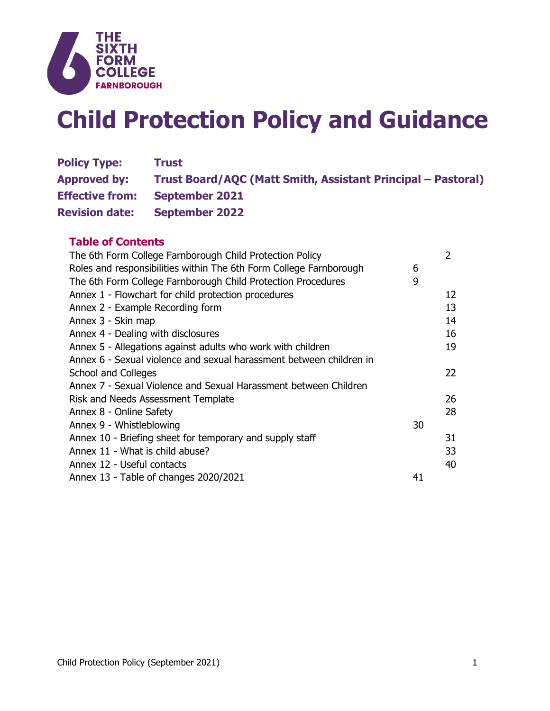

# **Child Protection Policy and Guidance**

| <b>Policy Type:</b>    | Trust                                                        |
|------------------------|--------------------------------------------------------------|
| <b>Approved by:</b>    | Trust Board/AQC (Matt Smith, Assistant Principal – Pastoral) |
| <b>Effective from:</b> | <b>September 2021</b>                                        |
| <b>Revision date:</b>  | <b>September 2022</b>                                        |

# **Table of Contents**

| The 6th Form College Farnborough Child Protection Policy            |    | 2  |
|---------------------------------------------------------------------|----|----|
| Roles and responsibilities within The 6th Form College Farnborough  | 6  |    |
| The 6th Form College Farnborough Child Protection Procedures        | 9  |    |
| Annex 1 - Flowchart for child protection procedures                 |    | 12 |
| Annex 2 - Example Recording form                                    |    | 13 |
| Annex 3 - Skin map                                                  |    | 14 |
| Annex 4 - Dealing with disclosures                                  |    | 16 |
| Annex 5 - Allegations against adults who work with children         |    | 19 |
| Annex 6 - Sexual violence and sexual harassment between children in |    |    |
| School and Colleges                                                 |    | 22 |
| Annex 7 - Sexual Violence and Sexual Harassment between Children    |    |    |
| Risk and Needs Assessment Template                                  |    | 26 |
| Annex 8 - Online Safety                                             |    | 28 |
| Annex 9 - Whistleblowing                                            | 30 |    |
| Annex 10 - Briefing sheet for temporary and supply staff            |    | 31 |
| Annex 11 - What is child abuse?                                     |    | 33 |
| Annex 12 - Useful contacts                                          |    | 40 |
| Annex 13 - Table of changes 2020/2021                               | 41 |    |
|                                                                     |    |    |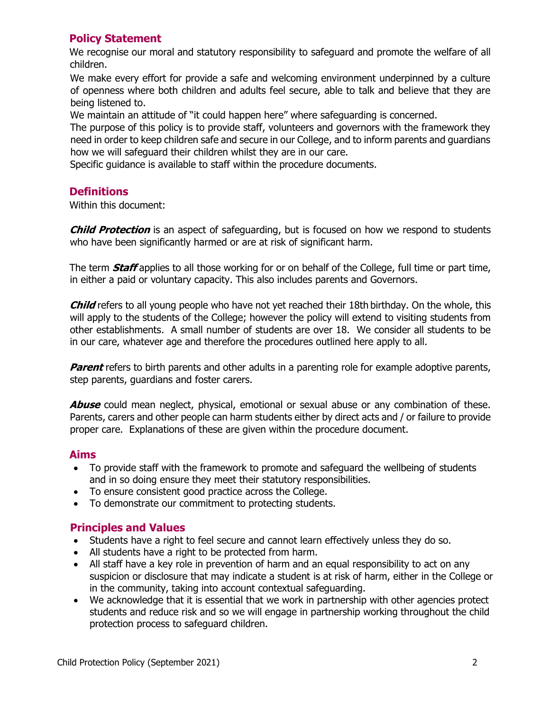# **Policy Statement**

We recognise our moral and statutory responsibility to safeguard and promote the welfare of all children.

We make every effort for provide a safe and welcoming environment underpinned by a culture of openness where both children and adults feel secure, able to talk and believe that they are being listened to.

We maintain an attitude of "it could happen here" where safeguarding is concerned.

The purpose of this policy is to provide staff, volunteers and governors with the framework they need in order to keep children safe and secure in our College, and to inform parents and guardians how we will safeguard their children whilst they are in our care.

Specific guidance is available to staff within the procedure documents.

# **Definitions**

Within this document:

**Child Protection** is an aspect of safeguarding, but is focused on how we respond to students who have been significantly harmed or are at risk of significant harm.

The term **Staff** applies to all those working for or on behalf of the College, full time or part time, in either a paid or voluntary capacity. This also includes parents and Governors.

**Child** refers to all young people who have not yet reached their 18th birthday. On the whole, this will apply to the students of the College; however the policy will extend to visiting students from other establishments. A small number of students are over 18. We consider all students to be in our care, whatever age and therefore the procedures outlined here apply to all.

**Parent** refers to birth parents and other adults in a parenting role for example adoptive parents, step parents, guardians and foster carers.

**Abuse** could mean neglect, physical, emotional or sexual abuse or any combination of these. Parents, carers and other people can harm students either by direct acts and / or failure to provide proper care. Explanations of these are given within the procedure document.

## **Aims**

- To provide staff with the framework to promote and safeguard the wellbeing of students and in so doing ensure they meet their statutory responsibilities.
- To ensure consistent good practice across the College.
- To demonstrate our commitment to protecting students.

# **Principles and Values**

- Students have a right to feel secure and cannot learn effectively unless they do so.
- All students have a right to be protected from harm.
- All staff have a key role in prevention of harm and an equal responsibility to act on any suspicion or disclosure that may indicate a student is at risk of harm, either in the College or in the community, taking into account contextual safeguarding.
- We acknowledge that it is essential that we work in partnership with other agencies protect students and reduce risk and so we will engage in partnership working throughout the child protection process to safeguard children.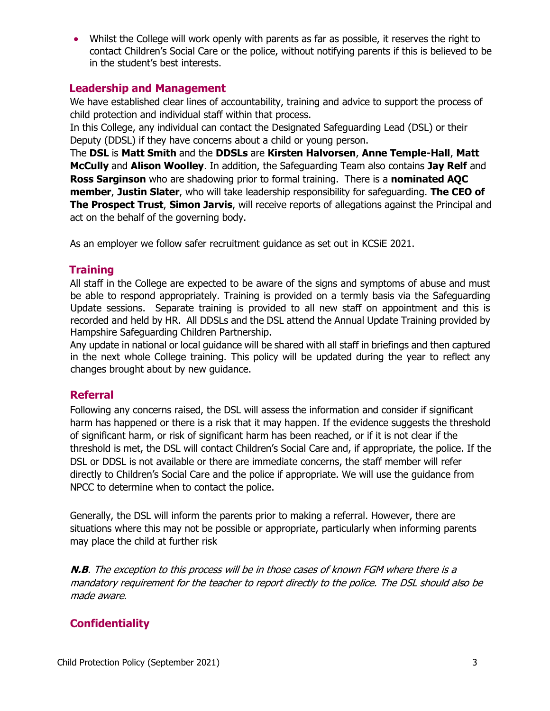Whilst the College will work openly with parents as far as possible, it reserves the right to contact Children's Social Care or the police, without notifying parents if this is believed to be in the student's best interests.

## **Leadership and Management**

We have established clear lines of accountability, training and advice to support the process of child protection and individual staff within that process.

In this College, any individual can contact the Designated Safeguarding Lead (DSL) or their Deputy (DDSL) if they have concerns about a child or young person.

The **DSL** is **Matt Smith** and the **DDSLs** are **Kirsten Halvorsen**, **Anne Temple-Hall**, **Matt McCully** and **Alison Woolley**. In addition, the Safeguarding Team also contains **Jay Relf** and **Ross Sarginson** who are shadowing prior to formal training. There is a **nominated AQC member**, **Justin Slater**, who will take leadership responsibility for safeguarding. **The CEO of The Prospect Trust**, **Simon Jarvis**, will receive reports of allegations against the Principal and act on the behalf of the governing body.

As an employer we follow safer recruitment guidance as set out in KCSiE 2021.

# **Training**

All staff in the College are expected to be aware of the signs and symptoms of abuse and must be able to respond appropriately. Training is provided on a termly basis via the Safeguarding Update sessions. Separate training is provided to all new staff on appointment and this is recorded and held by HR. All DDSLs and the DSL attend the Annual Update Training provided by Hampshire Safeguarding Children Partnership.

Any update in national or local guidance will be shared with all staff in briefings and then captured in the next whole College training. This policy will be updated during the year to reflect any changes brought about by new guidance.

# **Referral**

Following any concerns raised, the DSL will assess the information and consider if significant harm has happened or there is a risk that it may happen. If the evidence suggests the threshold of significant harm, or risk of significant harm has been reached, or if it is not clear if the threshold is met, the DSL will contact Children's Social Care and, if appropriate, the police. If the DSL or DDSL is not available or there are immediate concerns, the staff member will refer directly to Children's Social Care and the police if appropriate. We will use the guidance from NPCC to determine when to contact the police.

Generally, the DSL will inform the parents prior to making a referral. However, there are situations where this may not be possible or appropriate, particularly when informing parents may place the child at further risk

**N.B**. The exception to this process will be in those cases of known FGM where there is a mandatory requirement for the teacher to report directly to the police. The DSL should also be made aware.

# **Confidentiality**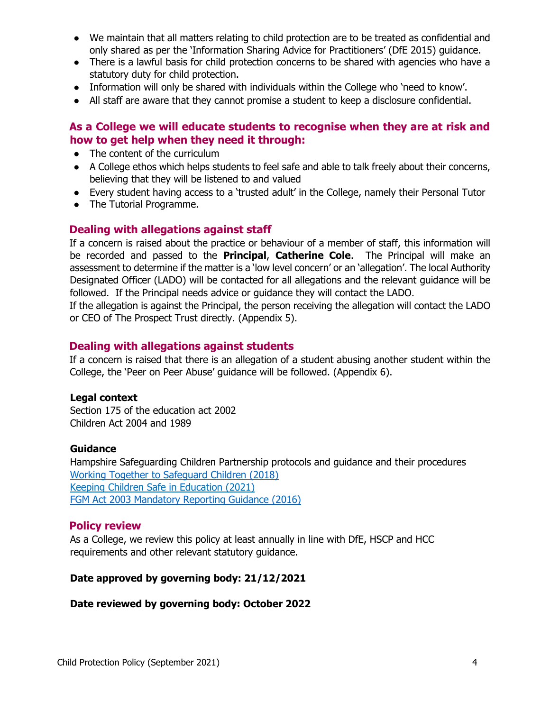- We maintain that all matters relating to child protection are to be treated as confidential and only shared as per the 'Information Sharing Advice for Practitioners' (DfE 2015) guidance.
- There is a lawful basis for child protection concerns to be shared with agencies who have a statutory duty for child protection.
- Information will only be shared with individuals within the College who 'need to know'.
- All staff are aware that they cannot promise a student to keep a disclosure confidential.

# **As a College we will educate students to recognise when they are at risk and how to get help when they need it through:**

- The content of the curriculum
- A College ethos which helps students to feel safe and able to talk freely about their concerns, believing that they will be listened to and valued
- Every student having access to a 'trusted adult' in the College, namely their Personal Tutor
- The Tutorial Programme.

# **Dealing with allegations against staff**

If a concern is raised about the practice or behaviour of a member of staff, this information will be recorded and passed to the **Principal**, **Catherine Cole**. The Principal will make an assessment to determine if the matter is a 'low level concern' or an 'allegation'. The local Authority Designated Officer (LADO) will be contacted for all allegations and the relevant guidance will be followed. If the Principal needs advice or guidance they will contact the LADO.

If the allegation is against the Principal, the person receiving the allegation will contact the LADO or CEO of The Prospect Trust directly. (Appendix 5).

#### **Dealing with allegations against students**

If a concern is raised that there is an allegation of a student abusing another student within the College, the 'Peer on Peer Abuse' guidance will be followed. (Appendix 6).

#### **Legal context**

Section 175 of the education act 2002 Children Act 2004 and 1989

#### **Guidance**

Hampshire Safeguarding Children Partnership protocols and guidance and their procedures [Working Together to Safeguard Children \(2018\)](https://www.gov.uk/government/publications/working-together-to-safeguard-children--2) [Keeping Children Safe in Education \(2021\)](https://www.gov.uk/government/publications/keeping-children-safe-in-education--2)  [FGM Act 2003 Mandatory Reporting Guidance \(2016\)](https://www.gov.uk/government/publications/mandatory-reporting-of-female-genital-mutilation-procedural-information)

## **Policy review**

As a College, we review this policy at least annually in line with DfE, HSCP and HCC requirements and other relevant statutory guidance.

#### **Date approved by governing body: 21/12/2021**

#### **Date reviewed by governing body: October 2022**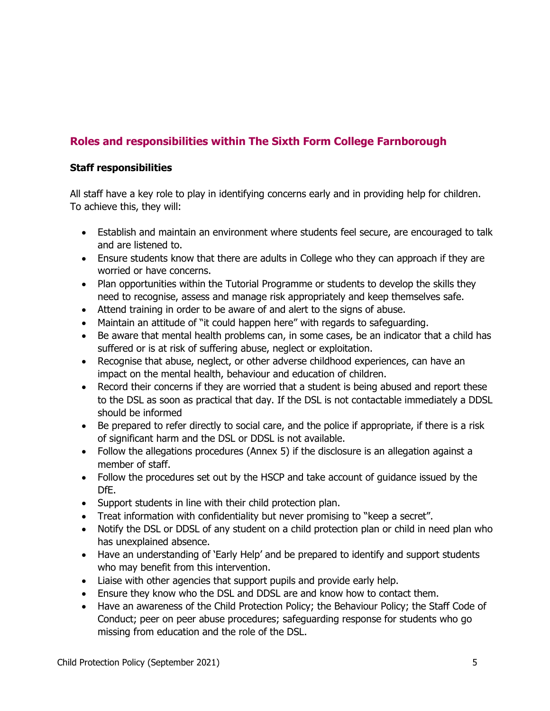# **Roles and responsibilities within The Sixth Form College Farnborough**

## **Staff responsibilities**

All staff have a key role to play in identifying concerns early and in providing help for children. To achieve this, they will:

- Establish and maintain an environment where students feel secure, are encouraged to talk and are listened to.
- Ensure students know that there are adults in College who they can approach if they are worried or have concerns.
- Plan opportunities within the Tutorial Programme or students to develop the skills they need to recognise, assess and manage risk appropriately and keep themselves safe.
- Attend training in order to be aware of and alert to the signs of abuse.
- Maintain an attitude of "it could happen here" with regards to safeguarding.
- Be aware that mental health problems can, in some cases, be an indicator that a child has suffered or is at risk of suffering abuse, neglect or exploitation.
- Recognise that abuse, neglect, or other adverse childhood experiences, can have an impact on the mental health, behaviour and education of children.
- Record their concerns if they are worried that a student is being abused and report these to the DSL as soon as practical that day. If the DSL is not contactable immediately a DDSL should be informed
- Be prepared to refer directly to social care, and the police if appropriate, if there is a risk of significant harm and the DSL or DDSL is not available.
- Follow the allegations procedures (Annex 5) if the disclosure is an allegation against a member of staff.
- Follow the procedures set out by the HSCP and take account of guidance issued by the DfE.
- Support students in line with their child protection plan.
- Treat information with confidentiality but never promising to "keep a secret".
- Notify the DSL or DDSL of any student on a child protection plan or child in need plan who has unexplained absence.
- Have an understanding of 'Early Help' and be prepared to identify and support students who may benefit from this intervention.
- Liaise with other agencies that support pupils and provide early help.
- Ensure they know who the DSL and DDSL are and know how to contact them.
- Have an awareness of the Child Protection Policy; the Behaviour Policy; the Staff Code of Conduct; peer on peer abuse procedures; safeguarding response for students who go missing from education and the role of the DSL.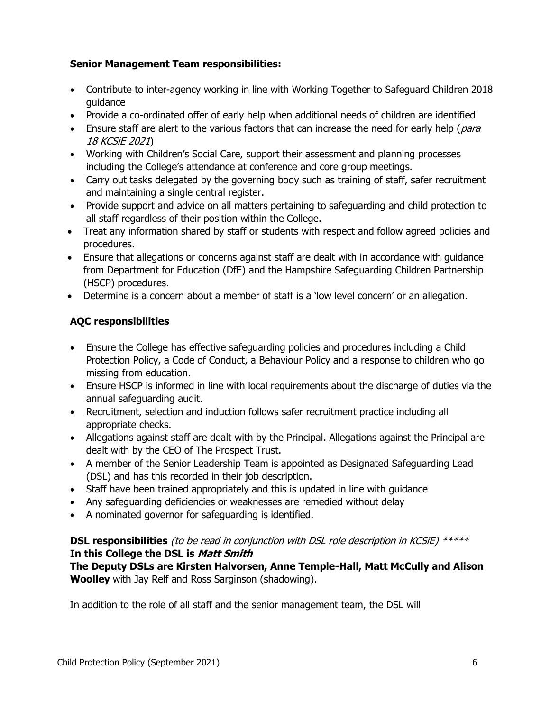## **Senior Management Team responsibilities:**

- Contribute to inter-agency working in line with Working Together to Safeguard Children 2018 guidance
- Provide a co-ordinated offer of early help when additional needs of children are identified
- **Ensure staff are alert to the various factors that can increase the need for early help (para** 18 KCSiE 2021)
- Working with Children's Social Care, support their assessment and planning processes including the College's attendance at conference and core group meetings.
- Carry out tasks delegated by the governing body such as training of staff, safer recruitment and maintaining a single central register.
- Provide support and advice on all matters pertaining to safeguarding and child protection to all staff regardless of their position within the College.
- Treat any information shared by staff or students with respect and follow agreed policies and procedures.
- Ensure that allegations or concerns against staff are dealt with in accordance with guidance from Department for Education (DfE) and the Hampshire Safeguarding Children Partnership (HSCP) procedures.
- Determine is a concern about a member of staff is a 'low level concern' or an allegation.

# **AQC responsibilities**

- Ensure the College has effective safeguarding policies and procedures including a Child Protection Policy, a Code of Conduct, a Behaviour Policy and a response to children who go missing from education.
- Ensure HSCP is informed in line with local requirements about the discharge of duties via the annual safeguarding audit.
- Recruitment, selection and induction follows safer recruitment practice including all appropriate checks.
- Allegations against staff are dealt with by the Principal. Allegations against the Principal are dealt with by the CEO of The Prospect Trust.
- A member of the Senior Leadership Team is appointed as Designated Safeguarding Lead (DSL) and has this recorded in their job description.
- Staff have been trained appropriately and this is updated in line with quidance
- Any safeguarding deficiencies or weaknesses are remedied without delay
- A nominated governor for safeguarding is identified.

# **DSL responsibilities** (to be read in conjunction with DSL role description in KCSiE) \*\*\*\*\* **In this College the DSL is Matt Smith**

**The Deputy DSLs are Kirsten Halvorsen, Anne Temple-Hall, Matt McCully and Alison Woolley** with Jay Relf and Ross Sarginson (shadowing).

In addition to the role of all staff and the senior management team, the DSL will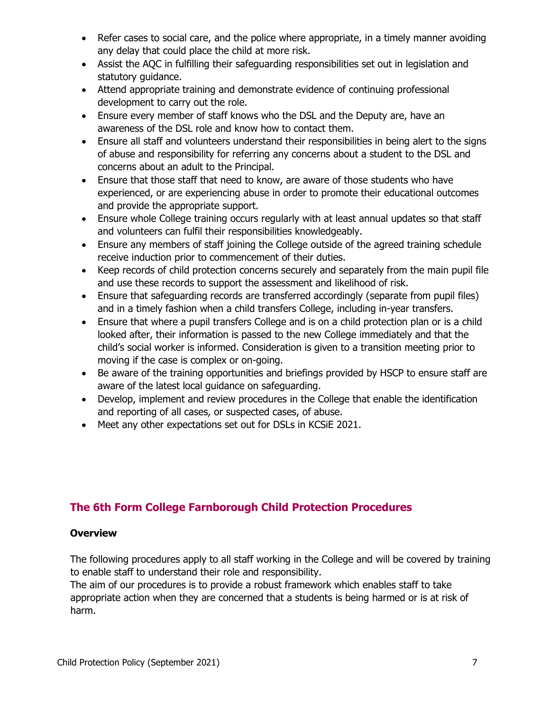- Refer cases to social care, and the police where appropriate, in a timely manner avoiding any delay that could place the child at more risk.
- Assist the AQC in fulfilling their safeguarding responsibilities set out in legislation and statutory guidance.
- Attend appropriate training and demonstrate evidence of continuing professional development to carry out the role.
- Ensure every member of staff knows who the DSL and the Deputy are, have an awareness of the DSL role and know how to contact them.
- Ensure all staff and volunteers understand their responsibilities in being alert to the signs of abuse and responsibility for referring any concerns about a student to the DSL and concerns about an adult to the Principal.
- Ensure that those staff that need to know, are aware of those students who have experienced, or are experiencing abuse in order to promote their educational outcomes and provide the appropriate support.
- Ensure whole College training occurs regularly with at least annual updates so that staff and volunteers can fulfil their responsibilities knowledgeably.
- Ensure any members of staff joining the College outside of the agreed training schedule receive induction prior to commencement of their duties.
- Keep records of child protection concerns securely and separately from the main pupil file and use these records to support the assessment and likelihood of risk.
- Ensure that safeguarding records are transferred accordingly (separate from pupil files) and in a timely fashion when a child transfers College, including in-year transfers.
- Ensure that where a pupil transfers College and is on a child protection plan or is a child looked after, their information is passed to the new College immediately and that the child's social worker is informed. Consideration is given to a transition meeting prior to moving if the case is complex or on-going.
- Be aware of the training opportunities and briefings provided by HSCP to ensure staff are aware of the latest local guidance on safeguarding.
- Develop, implement and review procedures in the College that enable the identification and reporting of all cases, or suspected cases, of abuse.
- Meet any other expectations set out for DSLs in KCSiE 2021.

# **The 6th Form College Farnborough Child Protection Procedures**

## **Overview**

The following procedures apply to all staff working in the College and will be covered by training to enable staff to understand their role and responsibility.

The aim of our procedures is to provide a robust framework which enables staff to take appropriate action when they are concerned that a students is being harmed or is at risk of harm.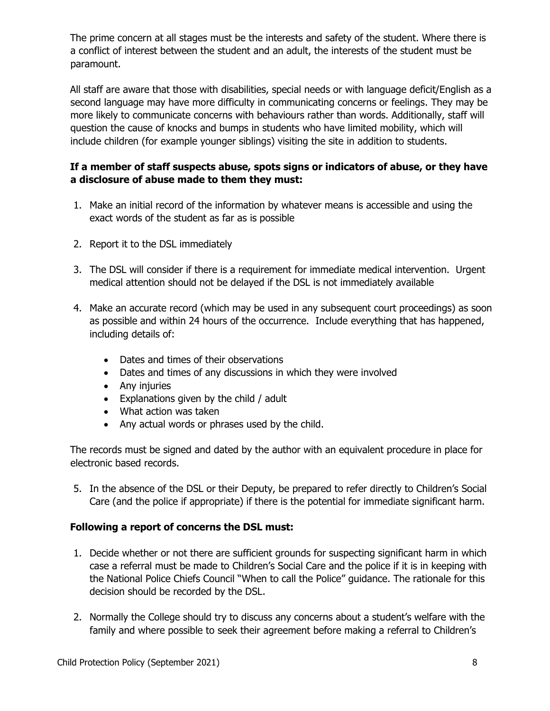The prime concern at all stages must be the interests and safety of the student. Where there is a conflict of interest between the student and an adult, the interests of the student must be paramount.

All staff are aware that those with disabilities, special needs or with language deficit/English as a second language may have more difficulty in communicating concerns or feelings. They may be more likely to communicate concerns with behaviours rather than words. Additionally, staff will question the cause of knocks and bumps in students who have limited mobility, which will include children (for example younger siblings) visiting the site in addition to students.

# **If a member of staff suspects abuse, spots signs or indicators of abuse, or they have a disclosure of abuse made to them they must:**

- 1. Make an initial record of the information by whatever means is accessible and using the exact words of the student as far as is possible
- 2. Report it to the DSL immediately
- 3. The DSL will consider if there is a requirement for immediate medical intervention. Urgent medical attention should not be delayed if the DSL is not immediately available
- 4. Make an accurate record (which may be used in any subsequent court proceedings) as soon as possible and within 24 hours of the occurrence. Include everything that has happened, including details of:
	- Dates and times of their observations
	- Dates and times of any discussions in which they were involved
	- Any injuries
	- Explanations given by the child / adult
	- What action was taken
	- Any actual words or phrases used by the child.

The records must be signed and dated by the author with an equivalent procedure in place for electronic based records.

5. In the absence of the DSL or their Deputy, be prepared to refer directly to Children's Social Care (and the police if appropriate) if there is the potential for immediate significant harm.

## **Following a report of concerns the DSL must:**

- 1. Decide whether or not there are sufficient grounds for suspecting significant harm in which case a referral must be made to Children's Social Care and the police if it is in keeping with the National Police Chiefs Council ["When to call the Police"](https://www.google.com/url?sa=t&rct=j&q=&esrc=s&source=web&cd=&cad=rja&uact=8&ved=2ahUKEwjWztnW2MfrAhWRRhUIHfKnB1sQFjABegQIDBAD&url=https%3A%2F%2Fwww.npcc.police.uk%2Fdocuments%2FChildren%2520and%2520Young%2520people%2FWhen%2520to%2520call%2520the%2520police%2520guidance%2520for%2520schools%2520and%2520colleges.pdf&usg=AOvVaw2hklWTbin6l8AlYoJFHR1V) guidance. The rationale for this decision should be recorded by the DSL.
- 2. Normally the College should try to discuss any concerns about a student's welfare with the family and where possible to seek their agreement before making a referral to Children's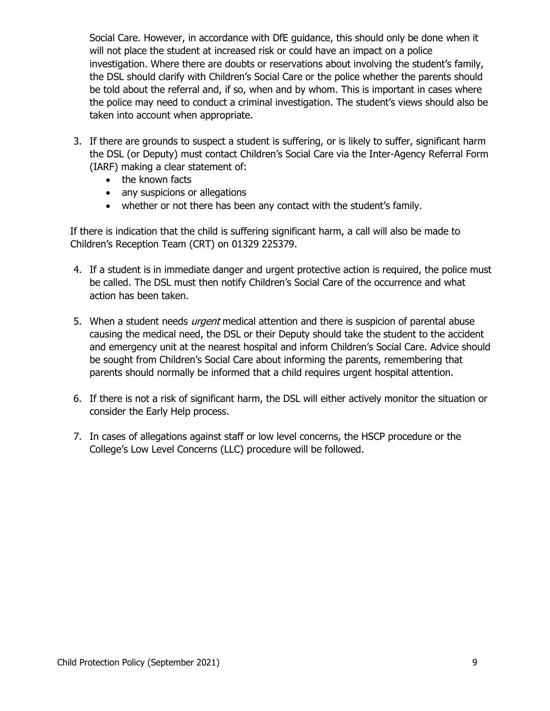Social Care. However, in accordance with DfE guidance, this should only be done when it will not place the student at increased risk or could have an impact on a police investigation. Where there are doubts or reservations about involving the student's family, the DSL should clarify with Children's Social Care or the police whether the parents should be told about the referral and, if so, when and by whom. This is important in cases where the police may need to conduct a criminal investigation. The student's views should also be taken into account when appropriate.

- 3. If there are grounds to suspect a student is suffering, or is likely to suffer, significant harm the DSL (or Deputy) must contact Children's Social Care via the Inter-Agency Referral Form (IARF) making a clear statement of:
	- the known facts
	- any suspicions or allegations
	- whether or not there has been any contact with the student's family.

If there is indication that the child is suffering significant harm, a call will also be made to Children's Reception Team (CRT) on 01329 225379.

- 4. If a student is in immediate danger and urgent protective action is required, the police must be called. The DSL must then notify Children's Social Care of the occurrence and what action has been taken.
- 5. When a student needs *urgent* medical attention and there is suspicion of parental abuse causing the medical need, the DSL or their Deputy should take the student to the accident and emergency unit at the nearest hospital and inform Children's Social Care. Advice should be sought from Children's Social Care about informing the parents, remembering that parents should normally be informed that a child requires urgent hospital attention.
- 6. If there is not a risk of significant harm, the DSL will either actively monitor the situation or consider the Early Help process.
- 7. In cases of allegations against staff or low level concerns, the HSCP procedure or the College's Low Level Concerns (LLC) procedure will be followed.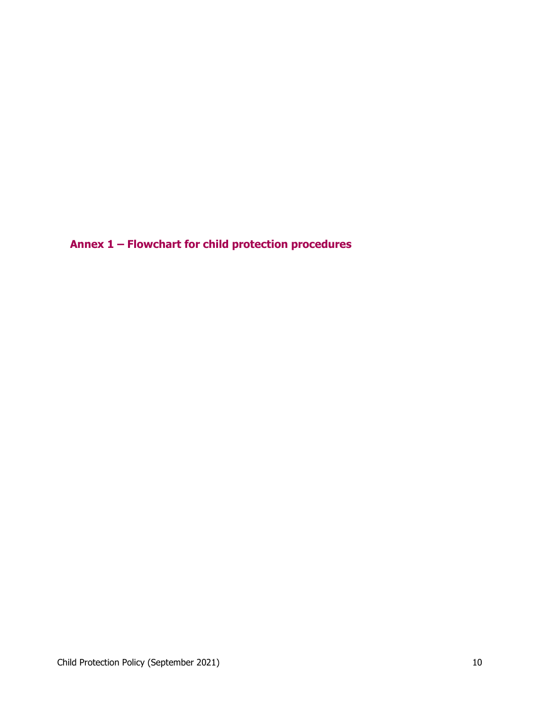**Annex 1 – Flowchart for child protection procedures**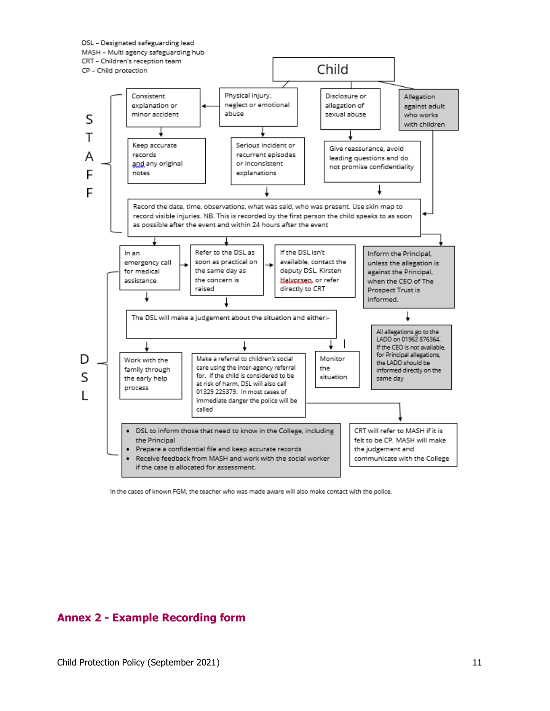



In the cases of known FGM, the teacher who was made aware will also make contact with the police.

# **Annex 2 - Example Recording form**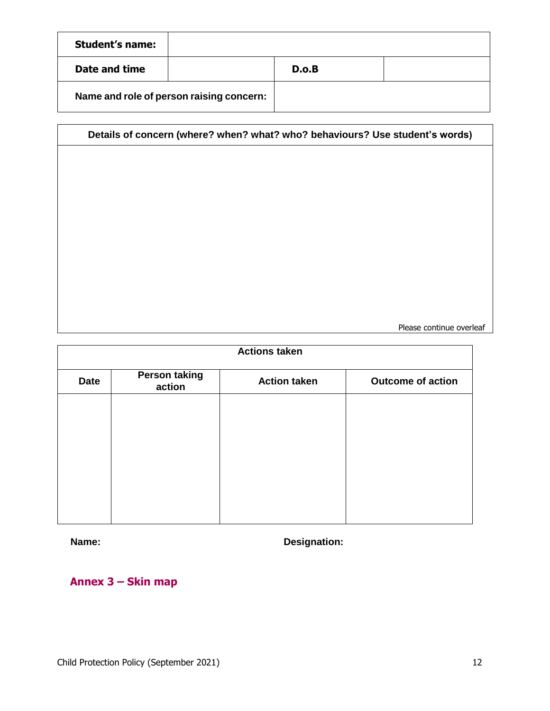| <b>Student's name:</b>                   |  |       |  |
|------------------------------------------|--|-------|--|
| Date and time                            |  | D.O.B |  |
| Name and role of person raising concern: |  |       |  |

| Details of concern (where? when? what? who? behaviours? Use student's words) |  |  |  |
|------------------------------------------------------------------------------|--|--|--|
|                                                                              |  |  |  |
|                                                                              |  |  |  |
|                                                                              |  |  |  |
|                                                                              |  |  |  |
|                                                                              |  |  |  |
|                                                                              |  |  |  |
|                                                                              |  |  |  |
|                                                                              |  |  |  |
|                                                                              |  |  |  |
|                                                                              |  |  |  |
|                                                                              |  |  |  |

Please continue overleaf

| <b>Actions taken</b> |                                |                     |                          |
|----------------------|--------------------------------|---------------------|--------------------------|
| <b>Date</b>          | <b>Person taking</b><br>action | <b>Action taken</b> | <b>Outcome of action</b> |
|                      |                                |                     |                          |
|                      |                                |                     |                          |
|                      |                                |                     |                          |
|                      |                                |                     |                          |
|                      |                                |                     |                          |
|                      |                                |                     |                          |

**Name: Designation:**

**Annex 3 – Skin map**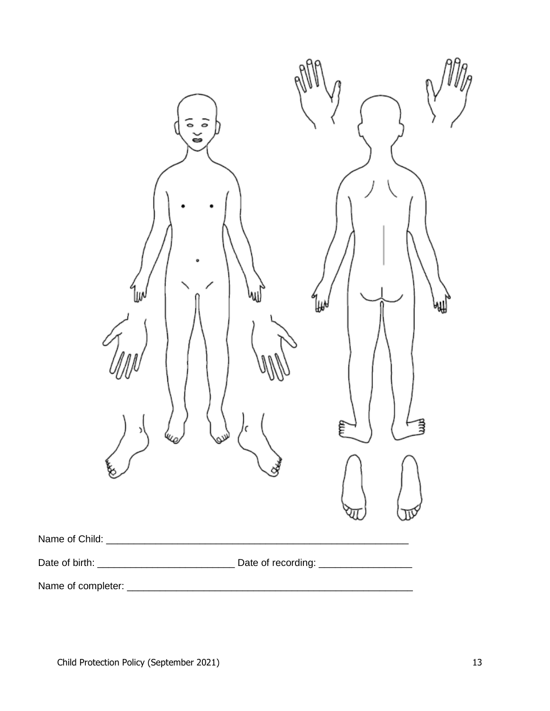| ີ້<br>llM<br>٥ | ไ⊮ง<br>₩<br>Ę<br>Ĕ |
|----------------|--------------------|
|                |                    |
|                |                    |
|                |                    |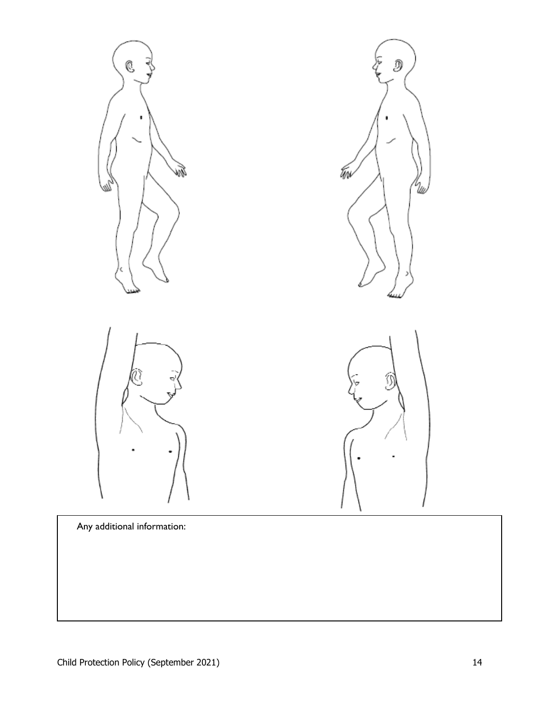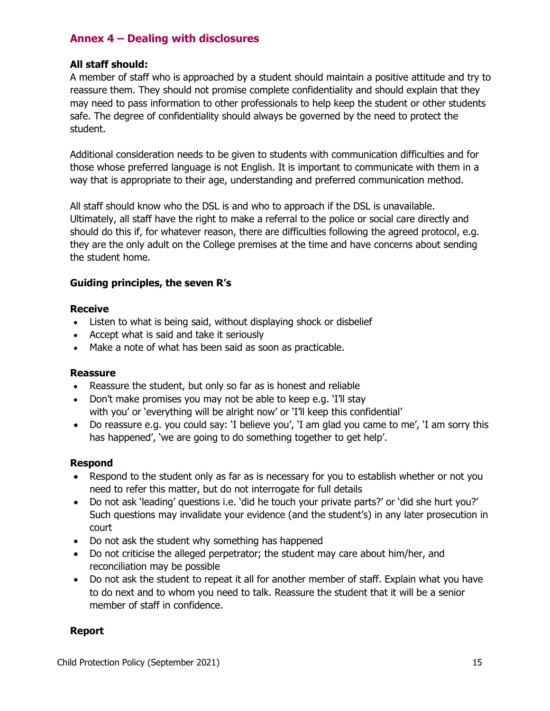# **Annex 4 – Dealing with disclosures**

## **All staff should:**

A member of staff who is approached by a student should maintain a positive attitude and try to reassure them. They should not promise complete confidentiality and should explain that they may need to pass information to other professionals to help keep the student or other students safe. The degree of confidentiality should always be governed by the need to protect the student.

Additional consideration needs to be given to students with communication difficulties and for those whose preferred language is not English. It is important to communicate with them in a way that is appropriate to their age, understanding and preferred communication method.

All staff should know who the DSL is and who to approach if the DSL is unavailable. Ultimately, all staff have the right to make a referral to the police or social care directly and should do this if, for whatever reason, there are difficulties following the agreed protocol, e.g. they are the only adult on the College premises at the time and have concerns about sending the student home.

# **Guiding principles, the seven R's**

#### **Receive**

- Listen to what is being said, without displaying shock or disbelief
- Accept what is said and take it seriously
- Make a note of what has been said as soon as practicable.

## **Reassure**

- Reassure the student, but only so far as is honest and reliable
- Don't make promises you may not be able to keep e.g. 'I'll stay with you' or 'everything will be alright now' or 'I'll keep this confidential'
- Do reassure e.g. you could say: 'I believe you', 'I am glad you came to me', 'I am sorry this has happened', 'we are going to do something together to get help'.

## **Respond**

- Respond to the student only as far as is necessary for you to establish whether or not you need to refer this matter, but do not interrogate for full details
- Do not ask 'leading' questions i.e. 'did he touch your private parts?' or 'did she hurt you?' Such questions may invalidate your evidence (and the student's) in any later prosecution in court
- Do not ask the student why something has happened
- Do not criticise the alleged perpetrator; the student may care about him/her, and reconciliation may be possible
- Do not ask the student to repeat it all for another member of staff. Explain what you have to do next and to whom you need to talk. Reassure the student that it will be a senior member of staff in confidence.

## **Report**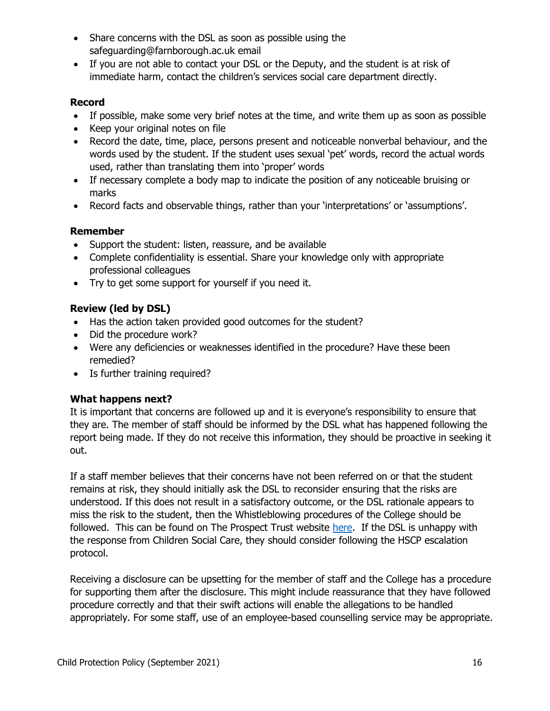- Share concerns with the DSL as soon as possible using the safeguarding@farnborough.ac.uk email
- If you are not able to contact your DSL or the Deputy, and the student is at risk of immediate harm, contact the children's services social care department directly.

# **Record**

- If possible, make some very brief notes at the time, and write them up as soon as possible
- Keep your original notes on file
- Record the date, time, place, persons present and noticeable nonverbal behaviour, and the words used by the student. If the student uses sexual 'pet' words, record the actual words used, rather than translating them into 'proper' words
- If necessary complete a body map to indicate the position of any noticeable bruising or marks
- Record facts and observable things, rather than your 'interpretations' or 'assumptions'.

# **Remember**

- Support the student: listen, reassure, and be available
- Complete confidentiality is essential. Share your knowledge only with appropriate professional colleagues
- Try to get some support for yourself if you need it.

# **Review (led by DSL)**

- Has the action taken provided good outcomes for the student?
- Did the procedure work?
- Were any deficiencies or weaknesses identified in the procedure? Have these been remedied?
- Is further training required?

## **What happens next?**

It is important that concerns are followed up and it is everyone's responsibility to ensure that they are. The member of staff should be informed by the DSL what has happened following the report being made. If they do not receive this information, they should be proactive in seeking it out.

If a staff member believes that their concerns have not been referred on or that the student remains at risk, they should initially ask the DSL to reconsider ensuring that the risks are understood. If this does not result in a satisfactory outcome, or the DSL rationale appears to miss the risk to the student, then the Whistleblowing procedures of the College should be followed. This can be found on The Prospect Trust website [here.](https://www.theprospecttrust.org.uk/page/?title=Policy&pid=32) If the DSL is unhappy with the response from Children Social Care, they should consider following the HSCP escalation protocol.

Receiving a disclosure can be upsetting for the member of staff and the College has a procedure for supporting them after the disclosure. This might include reassurance that they have followed procedure correctly and that their swift actions will enable the allegations to be handled appropriately. For some staff, use of an employee-based counselling service may be appropriate.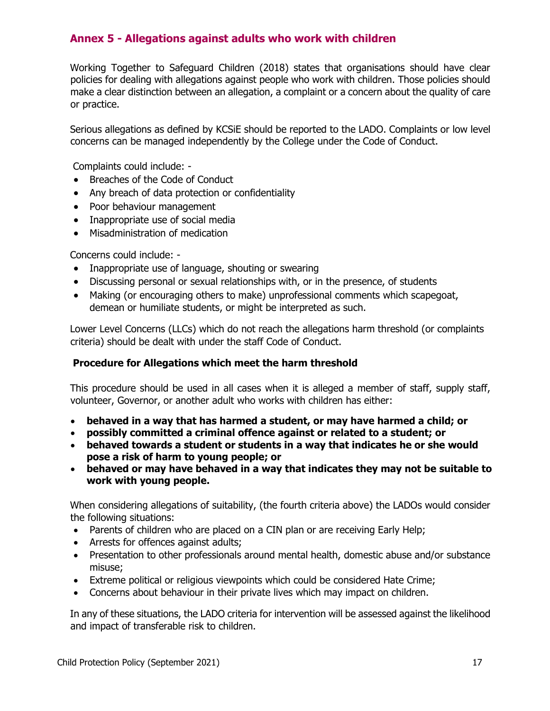# **Annex 5 - Allegations against adults who work with children**

Working Together to Safeguard Children (2018) states that organisations should have clear policies for dealing with allegations against people who work with children. Those policies should make a clear distinction between an allegation, a complaint or a concern about the quality of care or practice.

Serious allegations as defined by KCSiE should be reported to the LADO. Complaints or low level concerns can be managed independently by the College under the Code of Conduct.

Complaints could include: -

- Breaches of the Code of Conduct
- Any breach of data protection or confidentiality
- Poor behaviour management
- Inappropriate use of social media
- Misadministration of medication

Concerns could include: -

- Inappropriate use of language, shouting or swearing
- Discussing personal or sexual relationships with, or in the presence, of students
- Making (or encouraging others to make) unprofessional comments which scapegoat, demean or humiliate students, or might be interpreted as such.

Lower Level Concerns (LLCs) which do not reach the allegations harm threshold (or complaints criteria) should be dealt with under the staff Code of Conduct.

#### **Procedure for Allegations which meet the harm threshold**

This procedure should be used in all cases when it is alleged a member of staff, supply staff, volunteer, Governor, or another adult who works with children has either:

- **behaved in a way that has harmed a student, or may have harmed a child; or**
- **possibly committed a criminal offence against or related to a student; or**
- **behaved towards a student or students in a way that indicates he or she would pose a risk of harm to young people; or**
- **behaved or may have behaved in a way that indicates they may not be suitable to work with young people.**

When considering allegations of suitability, (the fourth criteria above) the LADOs would consider the following situations:

- Parents of children who are placed on a CIN plan or are receiving Early Help;
- Arrests for offences against adults;
- Presentation to other professionals around mental health, domestic abuse and/or substance misuse;
- Extreme political or religious viewpoints which could be considered Hate Crime;
- Concerns about behaviour in their private lives which may impact on children.

In any of these situations, the LADO criteria for intervention will be assessed against the likelihood and impact of transferable risk to children.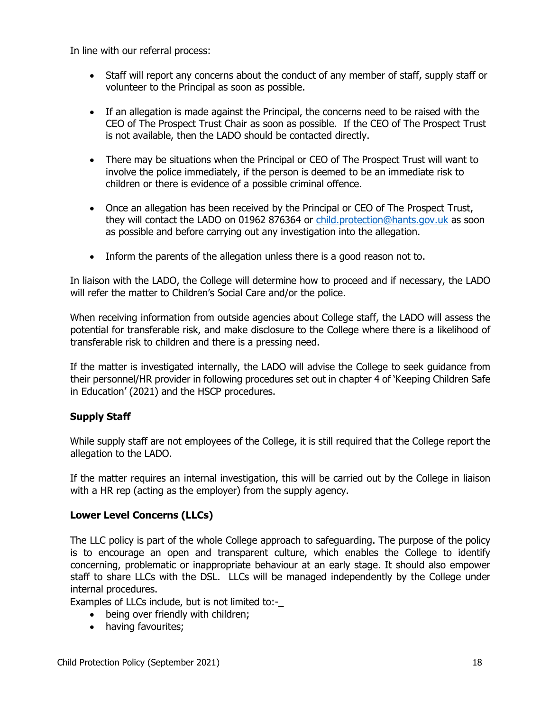In line with our referral process:

- Staff will report any concerns about the conduct of any member of staff, supply staff or volunteer to the Principal as soon as possible.
- If an allegation is made against the Principal, the concerns need to be raised with the CEO of The Prospect Trust Chair as soon as possible. If the CEO of The Prospect Trust is not available, then the LADO should be contacted directly.
- There may be situations when the Principal or CEO of The Prospect Trust will want to involve the police immediately, if the person is deemed to be an immediate risk to children or there is evidence of a possible criminal offence.
- Once an allegation has been received by the Principal or CEO of The Prospect Trust, they will contact the LADO on 01962 876364 or [child.protection@hants.gov.uk](mailto:child.protection@hants.gov.uk) as soon as possible and before carrying out any investigation into the allegation.
- Inform the parents of the allegation unless there is a good reason not to.

In liaison with the LADO, the College will determine how to proceed and if necessary, the LADO will refer the matter to Children's Social Care and/or the police.

When receiving information from outside agencies about College staff, the LADO will assess the potential for transferable risk, and make disclosure to the College where there is a likelihood of transferable risk to children and there is a pressing need.

If the matter is investigated internally, the LADO will advise the College to seek guidance from their personnel/HR provider in following procedures set out in chapter 4 of 'Keeping Children Safe in Education' (2021) and the HSCP procedures.

## **Supply Staff**

While supply staff are not employees of the College, it is still required that the College report the allegation to the LADO.

If the matter requires an internal investigation, this will be carried out by the College in liaison with a HR rep (acting as the employer) from the supply agency.

## **Lower Level Concerns (LLCs)**

The LLC policy is part of the whole College approach to safeguarding. The purpose of the policy is to encourage an open and transparent culture, which enables the College to identify concerning, problematic or inappropriate behaviour at an early stage. It should also empower staff to share LLCs with the DSL. LLCs will be managed independently by the College under internal procedures.

Examples of LLCs include, but is not limited to:-

- being over friendly with children;
- having favourites;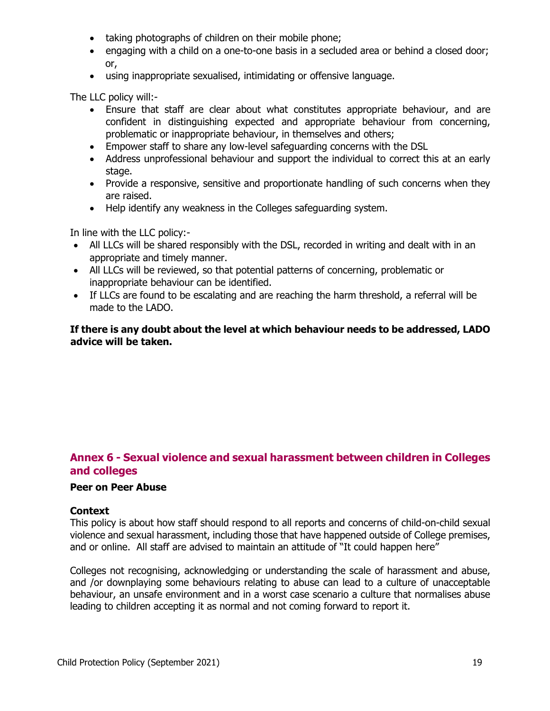- taking photographs of children on their mobile phone;
- engaging with a child on a one-to-one basis in a secluded area or behind a closed door; or,
- using inappropriate sexualised, intimidating or offensive language.

The LLC policy will:-

- Ensure that staff are clear about what constitutes appropriate behaviour, and are confident in distinguishing expected and appropriate behaviour from concerning, problematic or inappropriate behaviour, in themselves and others;
- Empower staff to share any low-level safeguarding concerns with the DSL
- Address unprofessional behaviour and support the individual to correct this at an early stage.
- Provide a responsive, sensitive and proportionate handling of such concerns when they are raised.
- Help identify any weakness in the Colleges safeguarding system.

In line with the LLC policy:-

- All LLCs will be shared responsibly with the DSL, recorded in writing and dealt with in an appropriate and timely manner.
- All LLCs will be reviewed, so that potential patterns of concerning, problematic or inappropriate behaviour can be identified.
- If LLCs are found to be escalating and are reaching the harm threshold, a referral will be made to the LADO.

#### **If there is any doubt about the level at which behaviour needs to be addressed, LADO advice will be taken.**

# **Annex 6 - Sexual violence and sexual harassment between children in Colleges and colleges**

#### **Peer on Peer Abuse**

#### **Context**

This policy is about how staff should respond to all reports and concerns of child-on-child sexual violence and sexual harassment, including those that have happened outside of College premises, and or online. All staff are advised to maintain an attitude of "It could happen here"

Colleges not recognising, acknowledging or understanding the scale of harassment and abuse, and /or downplaying some behaviours relating to abuse can lead to a culture of unacceptable behaviour, an unsafe environment and in a worst case scenario a culture that normalises abuse leading to children accepting it as normal and not coming forward to report it.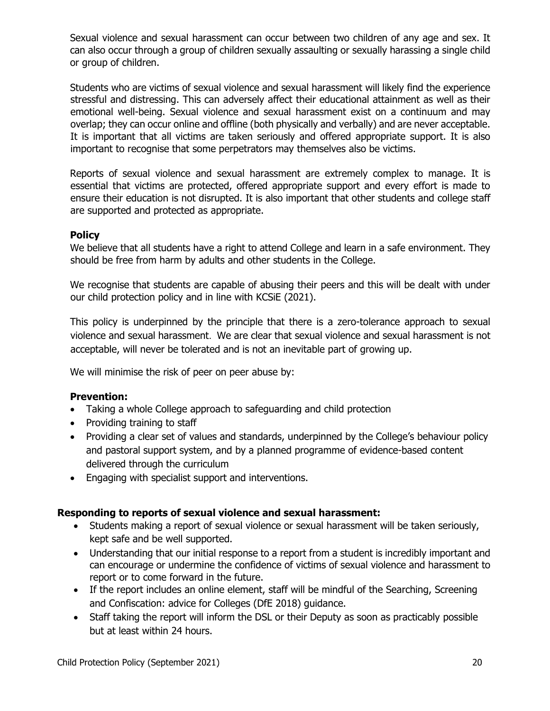Sexual violence and sexual harassment can occur between two children of any age and sex. It can also occur through a group of children sexually assaulting or sexually harassing a single child or group of children.

Students who are victims of sexual violence and sexual harassment will likely find the experience stressful and distressing. This can adversely affect their educational attainment as well as their emotional well-being. Sexual violence and sexual harassment exist on a continuum and may overlap; they can occur online and offline (both physically and verbally) and are never acceptable. It is important that all victims are taken seriously and offered appropriate support. It is also important to recognise that some perpetrators may themselves also be victims.

Reports of sexual violence and sexual harassment are extremely complex to manage. It is essential that victims are protected, offered appropriate support and every effort is made to ensure their education is not disrupted. It is also important that other students and college staff are supported and protected as appropriate.

#### **Policy**

We believe that all students have a right to attend College and learn in a safe environment. They should be free from harm by adults and other students in the College.

We recognise that students are capable of abusing their peers and this will be dealt with under our child protection policy and in line with KCSiE (2021).

This policy is underpinned by the principle that there is a zero-tolerance approach to sexual violence and sexual harassment. We are clear that sexual violence and sexual harassment is not acceptable, will never be tolerated and is not an inevitable part of growing up.

We will minimise the risk of peer on peer abuse by:

## **Prevention:**

- Taking a whole College approach to safeguarding and child protection
- Providing training to staff
- Providing a clear set of values and standards, underpinned by the College's behaviour policy and pastoral support system, and by a planned programme of evidence-based content delivered through the curriculum
- Engaging with specialist support and interventions.

## **Responding to reports of sexual violence and sexual harassment:**

- Students making a report of sexual violence or sexual harassment will be taken seriously, kept safe and be well supported.
- Understanding that our initial response to a report from a student is incredibly important and can encourage or undermine the confidence of victims of sexual violence and harassment to report or to come forward in the future.
- If the report includes an online element, staff will be mindful of the Searching, Screening and Confiscation: advice for Colleges (DfE 2018) guidance.
- Staff taking the report will inform the DSL or their Deputy as soon as practicably possible but at least within 24 hours.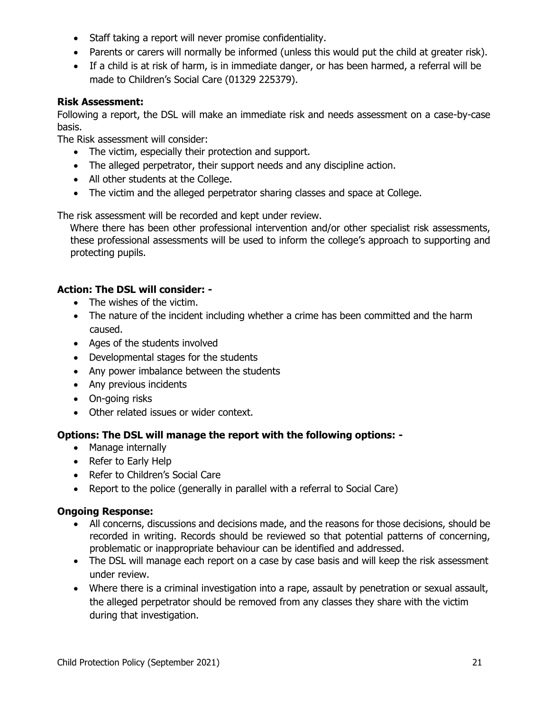- Staff taking a report will never promise confidentiality.
- Parents or carers will normally be informed (unless this would put the child at greater risk).
- If a child is at risk of harm, is in immediate danger, or has been harmed, a referral will be made to Children's Social Care (01329 225379).

# **Risk Assessment:**

Following a report, the DSL will make an immediate risk and needs assessment on a case-by-case basis.

The Risk assessment will consider:

- The victim, especially their protection and support.
- The alleged perpetrator, their support needs and any discipline action.
- All other students at the College.
- The victim and the alleged perpetrator sharing classes and space at College.

The risk assessment will be recorded and kept under review.

Where there has been other professional intervention and/or other specialist risk assessments, these professional assessments will be used to inform the college's approach to supporting and protecting pupils.

# **Action: The DSL will consider: -**

- The wishes of the victim.
- The nature of the incident including whether a crime has been committed and the harm caused.
- Ages of the students involved
- Developmental stages for the students
- Any power imbalance between the students
- Any previous incidents
- On-going risks
- Other related issues or wider context.

## **Options: The DSL will manage the report with the following options: -**

- Manage internally
- Refer to Early Help
- Refer to Children's Social Care
- Report to the police (generally in parallel with a referral to Social Care)

## **Ongoing Response:**

- All concerns, discussions and decisions made, and the reasons for those decisions, should be recorded in writing. Records should be reviewed so that potential patterns of concerning, problematic or inappropriate behaviour can be identified and addressed.
- The DSL will manage each report on a case by case basis and will keep the risk assessment under review.
- Where there is a criminal investigation into a rape, assault by penetration or sexual assault, the alleged perpetrator should be removed from any classes they share with the victim during that investigation.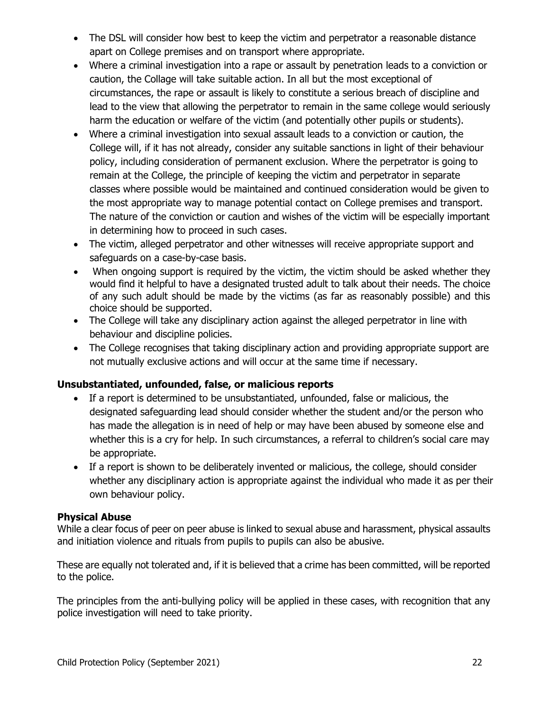- The DSL will consider how best to keep the victim and perpetrator a reasonable distance apart on College premises and on transport where appropriate.
- Where a criminal investigation into a rape or assault by penetration leads to a conviction or caution, the Collage will take suitable action. In all but the most exceptional of circumstances, the rape or assault is likely to constitute a serious breach of discipline and lead to the view that allowing the perpetrator to remain in the same college would seriously harm the education or welfare of the victim (and potentially other pupils or students).
- Where a criminal investigation into sexual assault leads to a conviction or caution, the College will, if it has not already, consider any suitable sanctions in light of their behaviour policy, including consideration of permanent exclusion. Where the perpetrator is going to remain at the College, the principle of keeping the victim and perpetrator in separate classes where possible would be maintained and continued consideration would be given to the most appropriate way to manage potential contact on College premises and transport. The nature of the conviction or caution and wishes of the victim will be especially important in determining how to proceed in such cases.
- The victim, alleged perpetrator and other witnesses will receive appropriate support and safeguards on a case-by-case basis.
- When ongoing support is required by the victim, the victim should be asked whether they would find it helpful to have a designated trusted adult to talk about their needs. The choice of any such adult should be made by the victims (as far as reasonably possible) and this choice should be supported.
- The College will take any disciplinary action against the alleged perpetrator in line with behaviour and discipline policies.
- The College recognises that taking disciplinary action and providing appropriate support are not mutually exclusive actions and will occur at the same time if necessary.

# **Unsubstantiated, unfounded, false, or malicious reports**

- If a report is determined to be unsubstantiated, unfounded, false or malicious, the designated safeguarding lead should consider whether the student and/or the person who has made the allegation is in need of help or may have been abused by someone else and whether this is a cry for help. In such circumstances, a referral to children's social care may be appropriate.
- If a report is shown to be deliberately invented or malicious, the college, should consider whether any disciplinary action is appropriate against the individual who made it as per their own behaviour policy.

## **Physical Abuse**

While a clear focus of peer on peer abuse is linked to sexual abuse and harassment, physical assaults and initiation violence and rituals from pupils to pupils can also be abusive.

These are equally not tolerated and, if it is believed that a crime has been committed, will be reported to the police.

The principles from the anti-bullying policy will be applied in these cases, with recognition that any police investigation will need to take priority.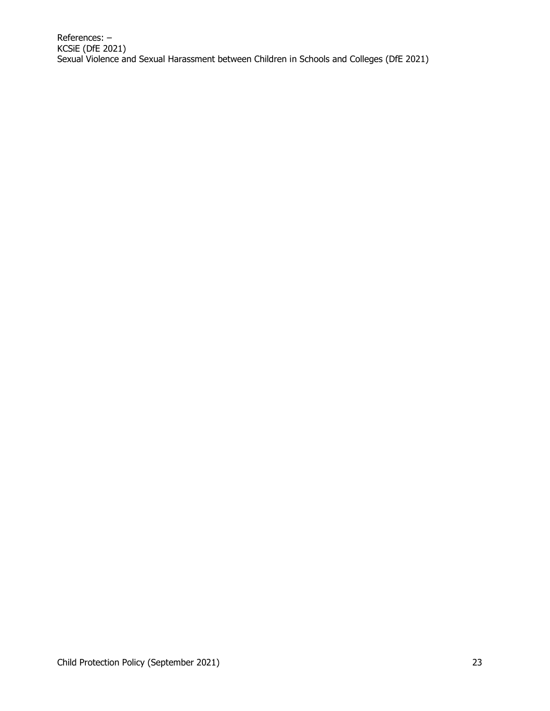References: – KCSiE (DfE 2021) Sexual Violence and Sexual Harassment between Children in Schools and Colleges (DfE 2021)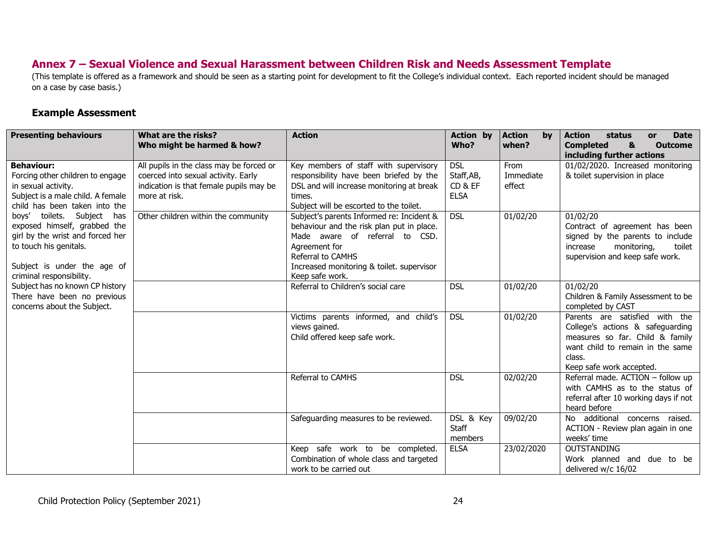# **Annex 7 – Sexual Violence and Sexual Harassment between Children Risk and Needs Assessment Template**

(This template is offered as a framework and should be seen as a starting point for development to fit the College's individual context. Each reported incident should be managed on a case by case basis.)

## **Example Assessment**

L

| <b>Presenting behaviours</b>                                                                                                                                                        | What are the risks?<br>Who might be harmed & how?                                                                                           | <b>Action</b>                                                                                                                                                                                                                  | <b>Action by</b><br>Who?                           | <b>Action</b><br>by<br>when? | status<br><b>Date</b><br><b>Action</b><br><b>or</b><br><b>Completed</b><br>&<br><b>Outcome</b><br>including further actions                                                     |
|-------------------------------------------------------------------------------------------------------------------------------------------------------------------------------------|---------------------------------------------------------------------------------------------------------------------------------------------|--------------------------------------------------------------------------------------------------------------------------------------------------------------------------------------------------------------------------------|----------------------------------------------------|------------------------------|---------------------------------------------------------------------------------------------------------------------------------------------------------------------------------|
| <b>Behaviour:</b><br>Forcing other children to engage<br>in sexual activity.<br>Subject is a male child. A female<br>child has been taken into the                                  | All pupils in the class may be forced or<br>coerced into sexual activity. Early<br>indication is that female pupils may be<br>more at risk. | Key members of staff with supervisory<br>responsibility have been briefed by the<br>DSL and will increase monitoring at break<br>times.<br>Subject will be escorted to the toilet.                                             | <b>DSL</b><br>Staff, AB,<br>CD & EF<br><b>ELSA</b> | From<br>Immediate<br>effect  | 01/02/2020. Increased monitoring<br>& toilet supervision in place                                                                                                               |
| boys' toilets. Subject has<br>exposed himself, grabbed the<br>girl by the wrist and forced her<br>to touch his genitals.<br>Subject is under the age of<br>criminal responsibility. | Other children within the community                                                                                                         | Subject's parents Informed re: Incident &<br>behaviour and the risk plan put in place.<br>Made aware of referral to CSD.<br>Agreement for<br>Referral to CAMHS<br>Increased monitoring & toilet. supervisor<br>Keep safe work. | <b>DSL</b>                                         | 01/02/20                     | 01/02/20<br>Contract of agreement has been<br>signed by the parents to include<br>monitoring,<br>toilet<br>increase<br>supervision and keep safe work.                          |
| Subject has no known CP history<br>There have been no previous<br>concerns about the Subject.                                                                                       |                                                                                                                                             | Referral to Children's social care                                                                                                                                                                                             | <b>DSL</b>                                         | 01/02/20                     | 01/02/20<br>Children & Family Assessment to be<br>completed by CAST                                                                                                             |
|                                                                                                                                                                                     |                                                                                                                                             | Victims parents informed, and child's<br>views gained.<br>Child offered keep safe work.                                                                                                                                        | <b>DSL</b>                                         | 01/02/20                     | Parents are satisfied with the<br>College's actions & safeguarding<br>measures so far. Child & family<br>want child to remain in the same<br>class.<br>Keep safe work accepted. |
|                                                                                                                                                                                     |                                                                                                                                             | Referral to CAMHS                                                                                                                                                                                                              | <b>DSL</b>                                         | 02/02/20                     | Referral made. ACTION - follow up<br>with CAMHS as to the status of<br>referral after 10 working days if not<br>heard before                                                    |
|                                                                                                                                                                                     |                                                                                                                                             | Safeguarding measures to be reviewed.                                                                                                                                                                                          | DSL & Key<br><b>Staff</b><br>members               | 09/02/20                     | No additional concerns raised.<br>ACTION - Review plan again in one<br>weeks' time                                                                                              |
|                                                                                                                                                                                     |                                                                                                                                             | Keep safe work to be completed.<br>Combination of whole class and targeted<br>work to be carried out                                                                                                                           | <b>ELSA</b>                                        | 23/02/2020                   | <b>OUTSTANDING</b><br>Work planned and due to be<br>delivered w/c 16/02                                                                                                         |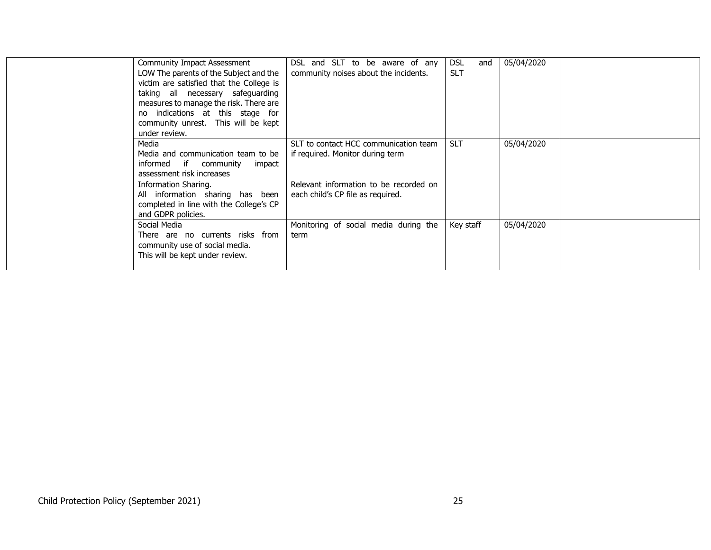| <b>Community Impact Assessment</b><br>LOW The parents of the Subject and the<br>victim are satisfied that the College is<br>taking all necessary safeguarding<br>measures to manage the risk. There are<br>indications at this stage for<br>no<br>community unrest. This will be kept<br>under review. | DSL and SLT to be aware of any<br>community noises about the incidents.     | <b>DSL</b><br>and<br><b>SLT</b> | 05/04/2020 |  |
|--------------------------------------------------------------------------------------------------------------------------------------------------------------------------------------------------------------------------------------------------------------------------------------------------------|-----------------------------------------------------------------------------|---------------------------------|------------|--|
| Media<br>Media and communication team to be<br>informed if community<br>impact<br>assessment risk increases                                                                                                                                                                                            | SLT to contact HCC communication team<br>if required. Monitor during term   | <b>SLT</b>                      | 05/04/2020 |  |
| Information Sharing.<br>All information sharing has been<br>completed in line with the College's CP<br>and GDPR policies.                                                                                                                                                                              | Relevant information to be recorded on<br>each child's CP file as required. |                                 |            |  |
| Social Media<br>There are no currents risks from<br>community use of social media.<br>This will be kept under review.                                                                                                                                                                                  | Monitoring of social media during the<br>term                               | Key staff                       | 05/04/2020 |  |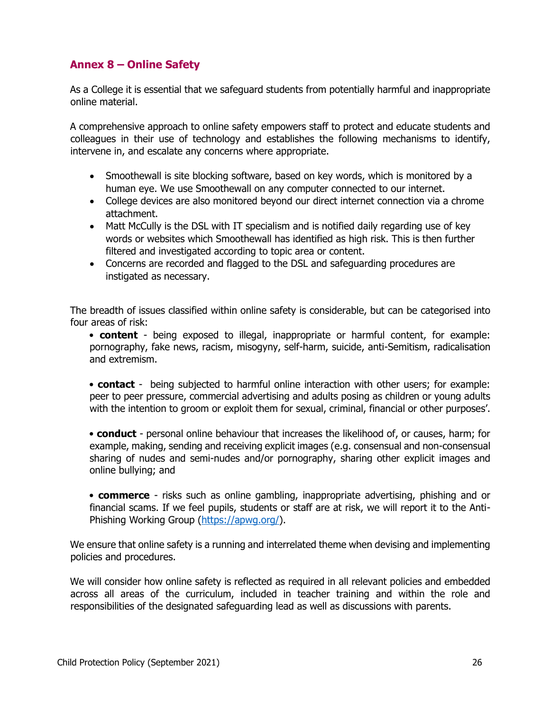# **Annex 8 – Online Safety**

As a College it is essential that we safeguard students from potentially harmful and inappropriate online material.

A comprehensive approach to online safety empowers staff to protect and educate students and colleagues in their use of technology and establishes the following mechanisms to identify, intervene in, and escalate any concerns where appropriate.

- Smoothewall is site blocking software, based on key words, which is monitored by a human eye. We use Smoothewall on any computer connected to our internet.
- College devices are also monitored beyond our direct internet connection via a chrome attachment.
- Matt McCully is the DSL with IT specialism and is notified daily regarding use of key words or websites which Smoothewall has identified as high risk. This is then further filtered and investigated according to topic area or content.
- Concerns are recorded and flagged to the DSL and safeguarding procedures are instigated as necessary.

The breadth of issues classified within online safety is considerable, but can be categorised into four areas of risk:

• **content** - being exposed to illegal, inappropriate or harmful content, for example: pornography, fake news, racism, misogyny, self-harm, suicide, anti-Semitism, radicalisation and extremism.

• **contact** - being subjected to harmful online interaction with other users; for example: peer to peer pressure, commercial advertising and adults posing as children or young adults with the intention to groom or exploit them for sexual, criminal, financial or other purposes'.

• **conduct** - personal online behaviour that increases the likelihood of, or causes, harm; for example, making, sending and receiving explicit images (e.g. consensual and non-consensual sharing of nudes and semi-nudes and/or pornography, sharing other explicit images and online bullying; and

• **commerce** - risks such as online gambling, inappropriate advertising, phishing and or financial scams. If we feel pupils, students or staff are at risk, we will report it to the Anti-Phishing Working Group [\(https://apwg.org/\)](https://apwg.org/).

We ensure that online safety is a running and interrelated theme when devising and implementing policies and procedures.

We will consider how online safety is reflected as required in all relevant policies and embedded across all areas of the curriculum, included in teacher training and within the role and responsibilities of the designated safeguarding lead as well as discussions with parents.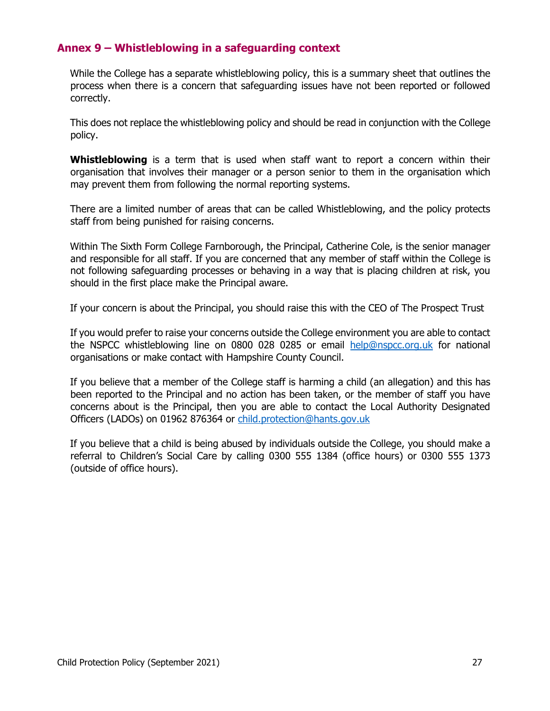# **Annex 9 – Whistleblowing in a safeguarding context**

While the College has a separate whistleblowing policy, this is a summary sheet that outlines the process when there is a concern that safeguarding issues have not been reported or followed correctly.

This does not replace the whistleblowing policy and should be read in conjunction with the College policy.

**Whistleblowing** is a term that is used when staff want to report a concern within their organisation that involves their manager or a person senior to them in the organisation which may prevent them from following the normal reporting systems.

There are a limited number of areas that can be called Whistleblowing, and the policy protects staff from being punished for raising concerns.

Within The Sixth Form College Farnborough, the Principal, Catherine Cole, is the senior manager and responsible for all staff. If you are concerned that any member of staff within the College is not following safeguarding processes or behaving in a way that is placing children at risk, you should in the first place make the Principal aware.

If your concern is about the Principal, you should raise this with the CEO of The Prospect Trust

If you would prefer to raise your concerns outside the College environment you are able to contact the NSPCC whistleblowing line on 0800 028 0285 or email [help@nspcc.org.uk](mailto:help@nspcc.org.uk) for national organisations or make contact with Hampshire County Council.

If you believe that a member of the College staff is harming a child (an allegation) and this has been reported to the Principal and no action has been taken, or the member of staff you have concerns about is the Principal, then you are able to contact the Local Authority Designated Officers (LADOs) on 01962 876364 or [child.protection@hants.gov.uk](mailto:child.protection@hants.gov.uk)

If you believe that a child is being abused by individuals outside the College, you should make a referral to Children's Social Care by calling 0300 555 1384 (office hours) or 0300 555 1373 (outside of office hours).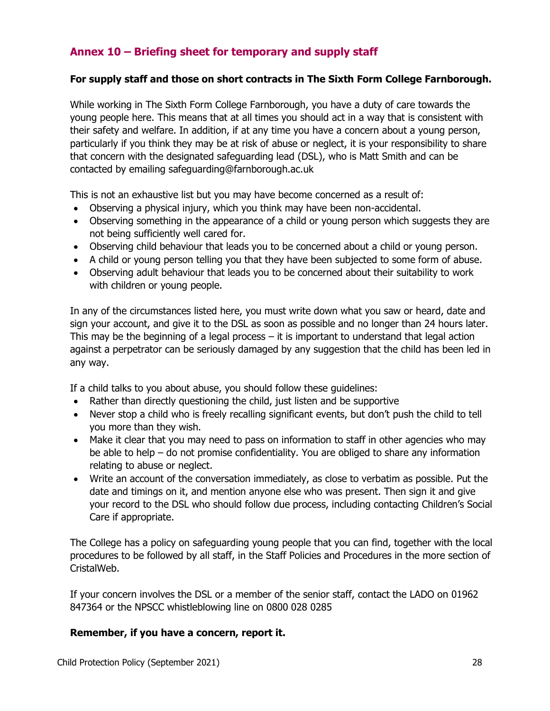# **Annex 10 – Briefing sheet for temporary and supply staff**

#### **For supply staff and those on short contracts in The Sixth Form College Farnborough.**

While working in The Sixth Form College Farnborough, you have a duty of care towards the young people here. This means that at all times you should act in a way that is consistent with their safety and welfare. In addition, if at any time you have a concern about a young person, particularly if you think they may be at risk of abuse or neglect, it is your responsibility to share that concern with the designated safeguarding lead (DSL), who is Matt Smith and can be contacted by emailing safeguarding@farnborough.ac.uk

This is not an exhaustive list but you may have become concerned as a result of:

- Observing a physical injury, which you think may have been non-accidental.
- Observing something in the appearance of a child or young person which suggests they are not being sufficiently well cared for.
- Observing child behaviour that leads you to be concerned about a child or young person.
- A child or young person telling you that they have been subjected to some form of abuse.
- Observing adult behaviour that leads you to be concerned about their suitability to work with children or young people.

In any of the circumstances listed here, you must write down what you saw or heard, date and sign your account, and give it to the DSL as soon as possible and no longer than 24 hours later. This may be the beginning of a legal process – it is important to understand that legal action against a perpetrator can be seriously damaged by any suggestion that the child has been led in any way.

If a child talks to you about abuse, you should follow these guidelines:

- Rather than directly questioning the child, just listen and be supportive
- Never stop a child who is freely recalling significant events, but don't push the child to tell you more than they wish.
- Make it clear that you may need to pass on information to staff in other agencies who may be able to help – do not promise confidentiality. You are obliged to share any information relating to abuse or neglect.
- Write an account of the conversation immediately, as close to verbatim as possible. Put the date and timings on it, and mention anyone else who was present. Then sign it and give your record to the DSL who should follow due process, including contacting Children's Social Care if appropriate.

The College has a policy on safeguarding young people that you can find, together with the local procedures to be followed by all staff, in the Staff Policies and Procedures in the more section of CristalWeb.

If your concern involves the DSL or a member of the senior staff, contact the LADO on 01962 847364 or the NPSCC whistleblowing line on 0800 028 0285

#### **Remember, if you have a concern, report it.**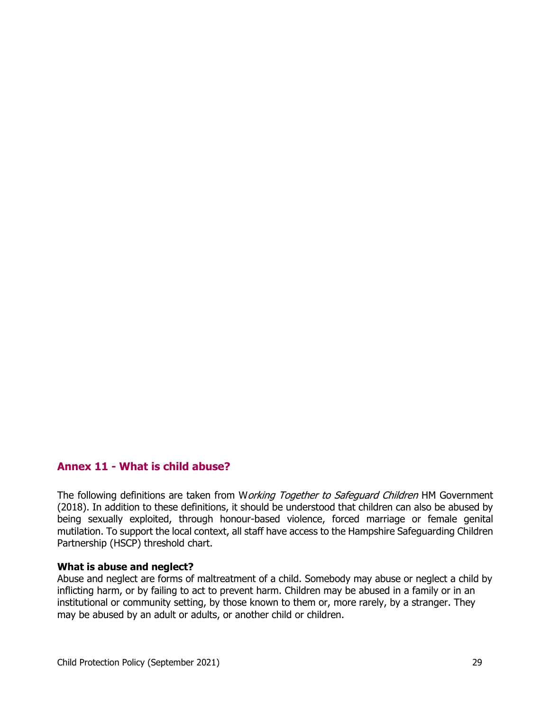## **Annex 11 - What is child abuse?**

The following definitions are taken from Working Together to Safeguard Children HM Government (2018). In addition to these definitions, it should be understood that children can also be abused by being sexually exploited, through honour-based violence, forced marriage or female genital mutilation. To support the local context, all staff have access to the Hampshire Safeguarding Children Partnership (HSCP) threshold chart.

#### **What is abuse and neglect?**

Abuse and neglect are forms of maltreatment of a child. Somebody may abuse or neglect a child by inflicting harm, or by failing to act to prevent harm. Children may be abused in a family or in an institutional or community setting, by those known to them or, more rarely, by a stranger. They may be abused by an adult or adults, or another child or children.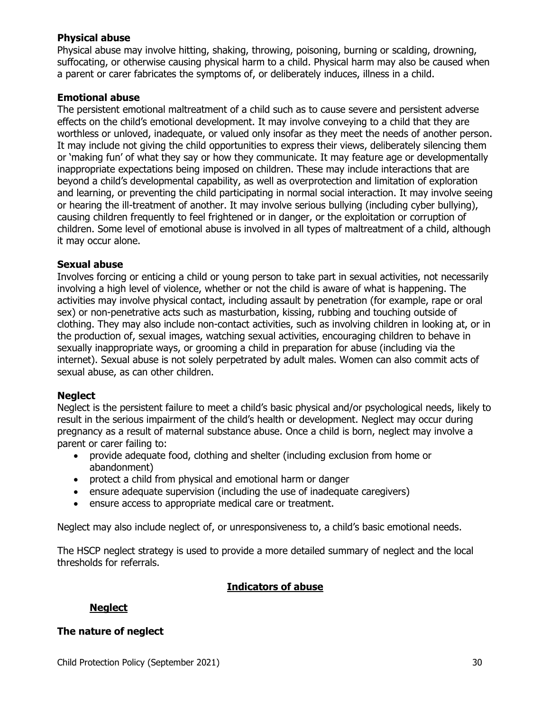#### **Physical abuse**

Physical abuse may involve hitting, shaking, throwing, poisoning, burning or scalding, drowning, suffocating, or otherwise causing physical harm to a child. Physical harm may also be caused when a parent or carer fabricates the symptoms of, or deliberately induces, illness in a child.

#### **Emotional abuse**

The persistent emotional maltreatment of a child such as to cause severe and persistent adverse effects on the child's emotional development. It may involve conveying to a child that they are worthless or unloved, inadequate, or valued only insofar as they meet the needs of another person. It may include not giving the child opportunities to express their views, deliberately silencing them or 'making fun' of what they say or how they communicate. It may feature age or developmentally inappropriate expectations being imposed on children. These may include interactions that are beyond a child's developmental capability, as well as overprotection and limitation of exploration and learning, or preventing the child participating in normal social interaction. It may involve seeing or hearing the ill-treatment of another. It may involve serious bullying (including cyber bullying), causing children frequently to feel frightened or in danger, or the exploitation or corruption of children. Some level of emotional abuse is involved in all types of maltreatment of a child, although it may occur alone.

#### **Sexual abuse**

Involves forcing or enticing a child or young person to take part in sexual activities, not necessarily involving a high level of violence, whether or not the child is aware of what is happening. The activities may involve physical contact, including assault by penetration (for example, rape or oral sex) or non-penetrative acts such as masturbation, kissing, rubbing and touching outside of clothing. They may also include non-contact activities, such as involving children in looking at, or in the production of, sexual images, watching sexual activities, encouraging children to behave in sexually inappropriate ways, or grooming a child in preparation for abuse (including via the internet). Sexual abuse is not solely perpetrated by adult males. Women can also commit acts of sexual abuse, as can other children.

#### **Neglect**

Neglect is the persistent failure to meet a child's basic physical and/or psychological needs, likely to result in the serious impairment of the child's health or development. Neglect may occur during pregnancy as a result of maternal substance abuse. Once a child is born, neglect may involve a parent or carer failing to:

- provide adequate food, clothing and shelter (including exclusion from home or abandonment)
- protect a child from physical and emotional harm or danger
- ensure adequate supervision (including the use of inadequate caregivers)
- ensure access to appropriate medical care or treatment.

Neglect may also include neglect of, or unresponsiveness to, a child's basic emotional needs.

The HSCP neglect strategy is used to provide a more detailed summary of neglect and the local thresholds for referrals.

## **Indicators of abuse**

## **Neglect**

#### **The nature of neglect**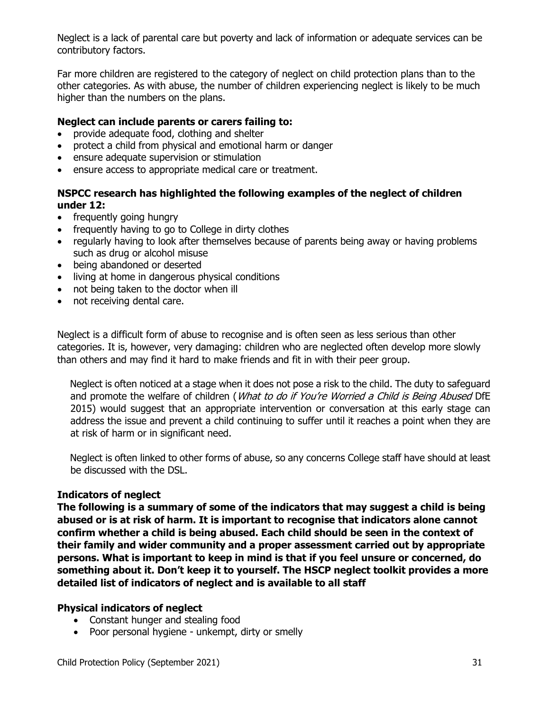Neglect is a lack of parental care but poverty and lack of information or adequate services can be contributory factors.

Far more children are registered to the category of neglect on child protection plans than to the other categories. As with abuse, the number of children experiencing neglect is likely to be much higher than the numbers on the plans.

#### **Neglect can include parents or carers failing to:**

- provide adequate food, clothing and shelter
- protect a child from physical and emotional harm or danger
- ensure adequate supervision or stimulation
- ensure access to appropriate medical care or treatment.

## **NSPCC research has highlighted the following examples of the neglect of children under 12:**

- frequently going hungry
- frequently having to go to College in dirty clothes
- regularly having to look after themselves because of parents being away or having problems such as drug or alcohol misuse
- being abandoned or deserted
- living at home in dangerous physical conditions
- not being taken to the doctor when ill
- not receiving dental care.

Neglect is a difficult form of abuse to recognise and is often seen as less serious than other categories. It is, however, very damaging: children who are neglected often develop more slowly than others and may find it hard to make friends and fit in with their peer group.

Neglect is often noticed at a stage when it does not pose a risk to the child. The duty to safeguard and promote the welfare of children (What to do if You're Worried a Child is Being Abused DfE 2015) would suggest that an appropriate intervention or conversation at this early stage can address the issue and prevent a child continuing to suffer until it reaches a point when they are at risk of harm or in significant need.

Neglect is often linked to other forms of abuse, so any concerns College staff have should at least be discussed with the DSL.

#### **Indicators of neglect**

**The following is a summary of some of the indicators that may suggest a child is being abused or is at risk of harm. It is important to recognise that indicators alone cannot confirm whether a child is being abused. Each child should be seen in the context of their family and wider community and a proper assessment carried out by appropriate persons. What is important to keep in mind is that if you feel unsure or concerned, do something about it. Don't keep it to yourself. The HSCP neglect toolkit provides a more detailed list of indicators of neglect and is available to all staff**

## **Physical indicators of neglect**

- Constant hunger and stealing food
- Poor personal hygiene unkempt, dirty or smelly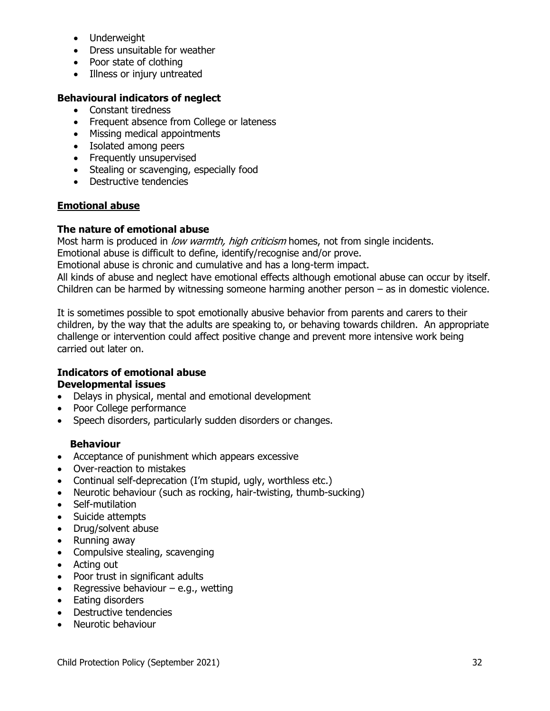- Underweight
- Dress unsuitable for weather
- Poor state of clothing
- Illness or injury untreated

## **Behavioural indicators of neglect**

- Constant tiredness
- Frequent absence from College or lateness
- Missing medical appointments
- Isolated among peers
- Frequently unsupervised
- Stealing or scavenging, especially food
- Destructive tendencies

#### **Emotional abuse**

#### **The nature of emotional abuse**

Most harm is produced in low warmth, high criticism homes, not from single incidents.

Emotional abuse is difficult to define, identify/recognise and/or prove.

Emotional abuse is chronic and cumulative and has a long-term impact.

All kinds of abuse and neglect have emotional effects although emotional abuse can occur by itself. Children can be harmed by witnessing someone harming another person – as in domestic violence.

It is sometimes possible to spot emotionally abusive behavior from parents and carers to their children, by the way that the adults are speaking to, or behaving towards children. An appropriate challenge or intervention could affect positive change and prevent more intensive work being carried out later on.

#### **Indicators of emotional abuse Developmental issues**

- Delays in physical, mental and emotional development
- Poor College performance
- Speech disorders, particularly sudden disorders or changes.

## **Behaviour**

- Acceptance of punishment which appears excessive
- Over-reaction to mistakes
- Continual self-deprecation (I'm stupid, ugly, worthless etc.)
- Neurotic behaviour (such as rocking, hair-twisting, thumb-sucking)
- Self-mutilation
- Suicide attempts
- Drug/solvent abuse
- Running away
- Compulsive stealing, scavenging
- Acting out
- Poor trust in significant adults
- Regressive behaviour  $-$  e.g., wetting
- Eating disorders
- Destructive tendencies
- Neurotic behaviour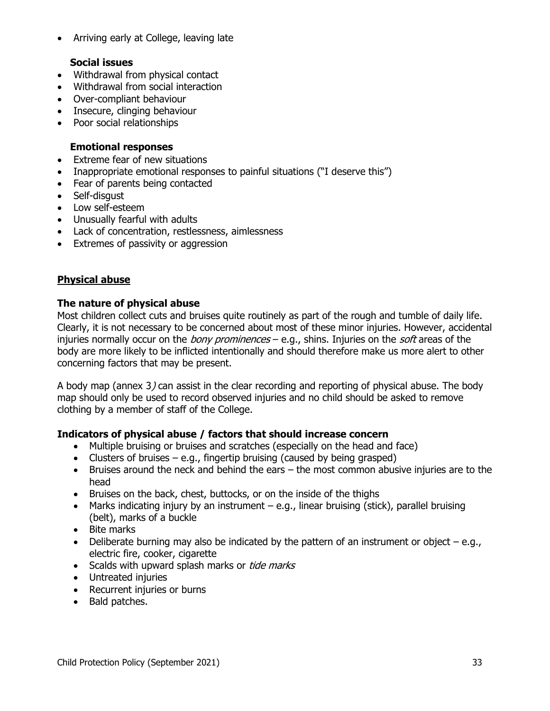Arriving early at College, leaving late

#### **Social issues**

- Withdrawal from physical contact
- Withdrawal from social interaction
- Over-compliant behaviour
- Insecure, clinging behaviour
- Poor social relationships

#### **Emotional responses**

- Extreme fear of new situations
- Inappropriate emotional responses to painful situations ("I deserve this")
- Fear of parents being contacted
- Self-disgust
- Low self-esteem
- Unusually fearful with adults
- Lack of concentration, restlessness, aimlessness
- Extremes of passivity or aggression

## **Physical abuse**

#### **The nature of physical abuse**

Most children collect cuts and bruises quite routinely as part of the rough and tumble of daily life. Clearly, it is not necessary to be concerned about most of these minor injuries. However, accidental injuries normally occur on the *bony prominences* – e.g., shins. Injuries on the *soft* areas of the body are more likely to be inflicted intentionally and should therefore make us more alert to other concerning factors that may be present.

A body map (annex 3) can assist in the clear recording and reporting of physical abuse. The body map should only be used to record observed injuries and no child should be asked to remove clothing by a member of staff of the College.

## **Indicators of physical abuse / factors that should increase concern**

- Multiple bruising or bruises and scratches (especially on the head and face)
- Clusters of bruises  $-$  e.g., fingertip bruising (caused by being grasped)
- Bruises around the neck and behind the ears the most common abusive injuries are to the head
- Bruises on the back, chest, buttocks, or on the inside of the thighs
- Marks indicating injury by an instrument  $-e.g.,$  linear bruising (stick), parallel bruising (belt), marks of a buckle
- Bite marks
- Deliberate burning may also be indicated by the pattern of an instrument or object  $-e.g.,$ electric fire, cooker, cigarette
- Scalds with upward splash marks or tide marks
- Untreated injuries
- Recurrent injuries or burns
- Bald patches.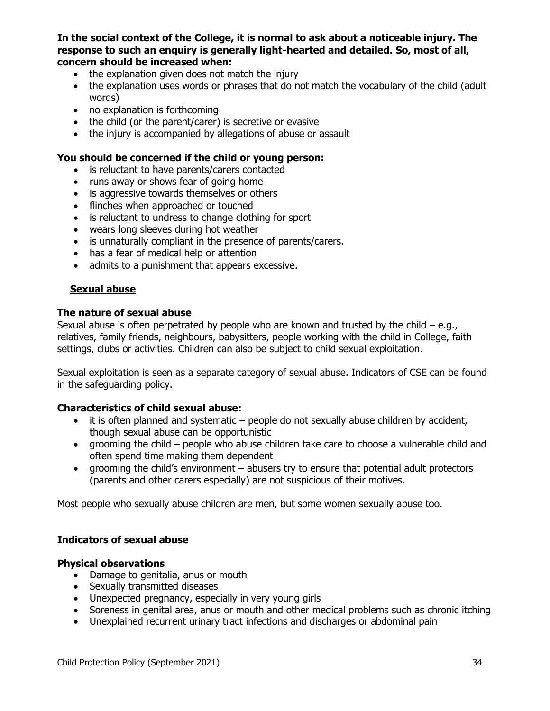**In the social context of the College, it is normal to ask about a noticeable injury. The response to such an enquiry is generally light-hearted and detailed. So, most of all, concern should be increased when:** 

- the explanation given does not match the injury
- the explanation uses words or phrases that do not match the vocabulary of the child (adult words)
- no explanation is forthcoming
- the child (or the parent/carer) is secretive or evasive
- the injury is accompanied by allegations of abuse or assault

#### **You should be concerned if the child or young person:**

- is reluctant to have parents/carers contacted
- runs away or shows fear of going home
- is aggressive towards themselves or others
- flinches when approached or touched
- is reluctant to undress to change clothing for sport
- wears long sleeves during hot weather
- is unnaturally compliant in the presence of parents/carers.
- has a fear of medical help or attention
- admits to a punishment that appears excessive.

#### **Sexual abuse**

#### **The nature of sexual abuse**

Sexual abuse is often perpetrated by people who are known and trusted by the child  $-e.q.,$ relatives, family friends, neighbours, babysitters, people working with the child in College, faith settings, clubs or activities. Children can also be subject to child sexual exploitation.

Sexual exploitation is seen as a separate category of sexual abuse. Indicators of CSE can be found in the safeguarding policy.

#### **Characteristics of child sexual abuse:**

- $\bullet$  it is often planned and systematic people do not sexually abuse children by accident, though sexual abuse can be opportunistic
- grooming the child people who abuse children take care to choose a vulnerable child and often spend time making them dependent
- grooming the child's environment abusers try to ensure that potential adult protectors (parents and other carers especially) are not suspicious of their motives.

Most people who sexually abuse children are men, but some women sexually abuse too.

#### **Indicators of sexual abuse**

#### **Physical observations**

- Damage to genitalia, anus or mouth
- Sexually transmitted diseases
- Unexpected pregnancy, especially in very young girls
- Soreness in genital area, anus or mouth and other medical problems such as chronic itching
- Unexplained recurrent urinary tract infections and discharges or abdominal pain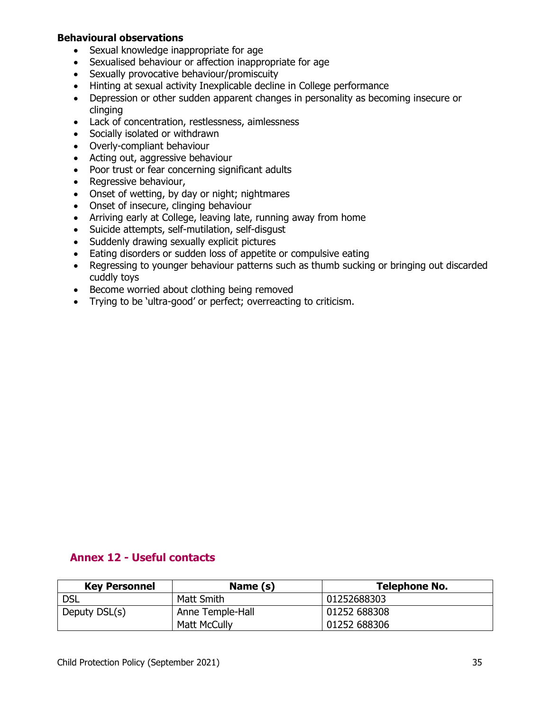#### **Behavioural observations**

- Sexual knowledge inappropriate for age
- Sexualised behaviour or affection inappropriate for age
- Sexually provocative behaviour/promiscuity
- Hinting at sexual activity Inexplicable decline in College performance
- Depression or other sudden apparent changes in personality as becoming insecure or clinging
- Lack of concentration, restlessness, aimlessness
- Socially isolated or withdrawn
- Overly-compliant behaviour
- Acting out, aggressive behaviour
- Poor trust or fear concerning significant adults
- Regressive behaviour,
- Onset of wetting, by day or night; nightmares
- Onset of insecure, clinging behaviour
- Arriving early at College, leaving late, running away from home
- Suicide attempts, self-mutilation, self-disgust
- Suddenly drawing sexually explicit pictures
- Eating disorders or sudden loss of appetite or compulsive eating
- Regressing to younger behaviour patterns such as thumb sucking or bringing out discarded cuddly toys
- Become worried about clothing being removed
- Trying to be 'ultra-good' or perfect; overreacting to criticism.

## **Annex 12 - Useful contacts**

| <b>Key Personnel</b> | Name (s)            | <b>Telephone No.</b> |
|----------------------|---------------------|----------------------|
| <b>DSL</b>           | Matt Smith          | 01252688303          |
| Deputy DSL(s)        | Anne Temple-Hall    | 01252 688308         |
|                      | <b>Matt McCully</b> | 01252 688306         |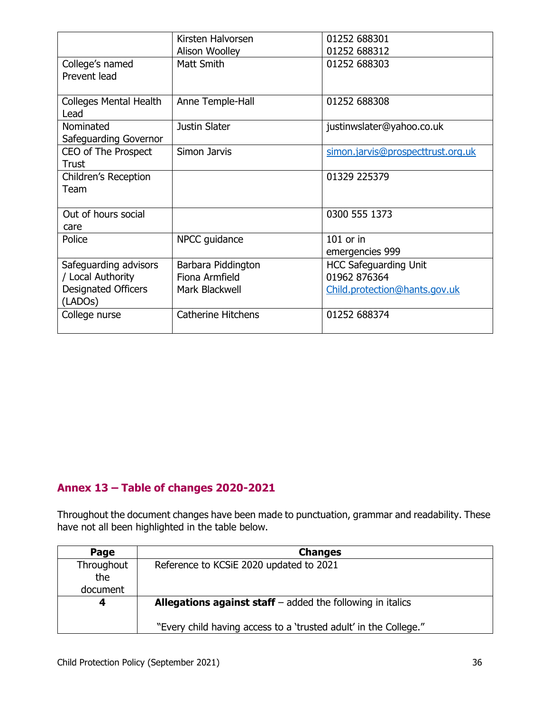|                                                    | Kirsten Halvorsen         | 01252 688301                      |
|----------------------------------------------------|---------------------------|-----------------------------------|
|                                                    | Alison Woolley            | 01252 688312                      |
| College's named                                    | Matt Smith                | 01252 688303                      |
| Prevent lead                                       |                           |                                   |
| <b>Colleges Mental Health</b><br>Lead              | Anne Temple-Hall          | 01252 688308                      |
| Nominated                                          | Justin Slater             | justinwslater@yahoo.co.uk         |
| Safeguarding Governor                              |                           |                                   |
| CEO of The Prospect                                | Simon Jarvis              | simon.jarvis@prospecttrust.org.uk |
| Trust                                              |                           |                                   |
| Children's Reception                               |                           | 01329 225379                      |
| Team                                               |                           |                                   |
| Out of hours social                                |                           | 0300 555 1373                     |
| care                                               |                           |                                   |
| Police                                             | NPCC guidance             | $101$ or in                       |
|                                                    |                           | emergencies 999                   |
| Safeguarding advisors                              | Barbara Piddington        | <b>HCC Safeguarding Unit</b>      |
| / Local Authority                                  | Fiona Armfield            | 01962 876364                      |
| <b>Designated Officers</b><br>(LADO <sub>S</sub> ) | Mark Blackwell            | Child.protection@hants.gov.uk     |
| College nurse                                      | <b>Catherine Hitchens</b> | 01252 688374                      |

# **Annex 13 – Table of changes 2020-2021**

Throughout the document changes have been made to punctuation, grammar and readability. These have not all been highlighted in the table below.

| Page              | <b>Changes</b>                                                      |
|-------------------|---------------------------------------------------------------------|
| Throughout<br>the | Reference to KCSiE 2020 updated to 2021                             |
| document          |                                                                     |
| 4                 | <b>Allegations against staff</b> $-$ added the following in italics |
|                   | "Every child having access to a 'trusted adult' in the College."    |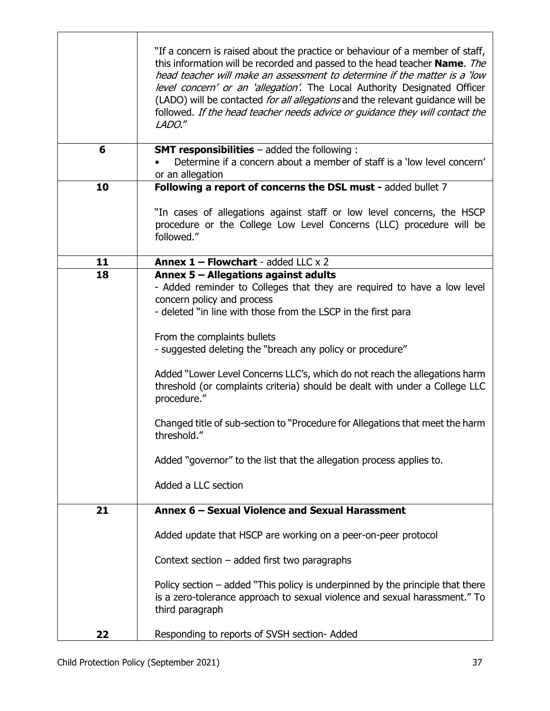|    | "If a concern is raised about the practice or behaviour of a member of staff,<br>this information will be recorded and passed to the head teacher Name. The<br>head teacher will make an assessment to determine if the matter is a 'low<br>level concern' or an 'allegation'. The Local Authority Designated Officer<br>(LADO) will be contacted for all allegations and the relevant guidance will be<br>followed. If the head teacher needs advice or guidance they will contact the<br>LADO."                                                                                                                                                                                     |
|----|---------------------------------------------------------------------------------------------------------------------------------------------------------------------------------------------------------------------------------------------------------------------------------------------------------------------------------------------------------------------------------------------------------------------------------------------------------------------------------------------------------------------------------------------------------------------------------------------------------------------------------------------------------------------------------------|
| 6  | <b>SMT responsibilities</b> - added the following :<br>Determine if a concern about a member of staff is a 'low level concern'<br>or an allegation                                                                                                                                                                                                                                                                                                                                                                                                                                                                                                                                    |
| 10 | Following a report of concerns the DSL must - added bullet 7                                                                                                                                                                                                                                                                                                                                                                                                                                                                                                                                                                                                                          |
|    | "In cases of allegations against staff or low level concerns, the HSCP<br>procedure or the College Low Level Concerns (LLC) procedure will be<br>followed."                                                                                                                                                                                                                                                                                                                                                                                                                                                                                                                           |
| 11 | <b>Annex <math>1</math> - Flowchart</b> - added LLC $\times$ 2                                                                                                                                                                                                                                                                                                                                                                                                                                                                                                                                                                                                                        |
| 18 | Annex 5 - Allegations against adults<br>- Added reminder to Colleges that they are required to have a low level<br>concern policy and process<br>- deleted "in line with those from the LSCP in the first para<br>From the complaints bullets<br>- suggested deleting the "breach any policy or procedure"<br>Added "Lower Level Concerns LLC's, which do not reach the allegations harm<br>threshold (or complaints criteria) should be dealt with under a College LLC<br>procedure."<br>Changed title of sub-section to "Procedure for Allegations that meet the harm<br>threshold."<br>Added "governor" to the list that the allegation process applies to.<br>Added a LLC section |
| 21 | Annex 6 - Sexual Violence and Sexual Harassment                                                                                                                                                                                                                                                                                                                                                                                                                                                                                                                                                                                                                                       |
|    | Added update that HSCP are working on a peer-on-peer protocol                                                                                                                                                                                                                                                                                                                                                                                                                                                                                                                                                                                                                         |
|    | Context section $-$ added first two paragraphs                                                                                                                                                                                                                                                                                                                                                                                                                                                                                                                                                                                                                                        |
|    | Policy section $-$ added "This policy is underpinned by the principle that there<br>is a zero-tolerance approach to sexual violence and sexual harassment." To<br>third paragraph                                                                                                                                                                                                                                                                                                                                                                                                                                                                                                     |
| 22 | Responding to reports of SVSH section- Added                                                                                                                                                                                                                                                                                                                                                                                                                                                                                                                                                                                                                                          |

٦